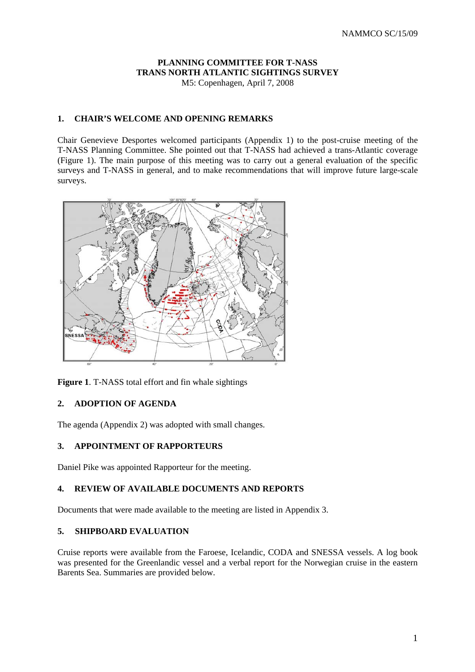# **PLANNING COMMITTEE FOR T-NASS TRANS NORTH ATLANTIC SIGHTINGS SURVEY**

M5: Copenhagen, April 7, 2008

# **1. CHAIR'S WELCOME AND OPENING REMARKS**

Chair Genevieve Desportes welcomed participants (Appendix 1) to the post-cruise meeting of the T-NASS Planning Committee. She pointed out that T-NASS had achieved a trans-Atlantic coverage (Figure 1). The main purpose of this meeting was to carry out a general evaluation of the specific surveys and T-NASS in general, and to make recommendations that will improve future large-scale surveys.



**Figure 1**. T-NASS total effort and fin whale sightings

#### **2. ADOPTION OF AGENDA**

The agenda (Appendix 2) was adopted with small changes.

#### **3. APPOINTMENT OF RAPPORTEURS**

Daniel Pike was appointed Rapporteur for the meeting.

#### **4. REVIEW OF AVAILABLE DOCUMENTS AND REPORTS**

Documents that were made available to the meeting are listed in Appendix 3.

# **5. SHIPBOARD EVALUATION**

Cruise reports were available from the Faroese, Icelandic, CODA and SNESSA vessels. A log book was presented for the Greenlandic vessel and a verbal report for the Norwegian cruise in the eastern Barents Sea. Summaries are provided below.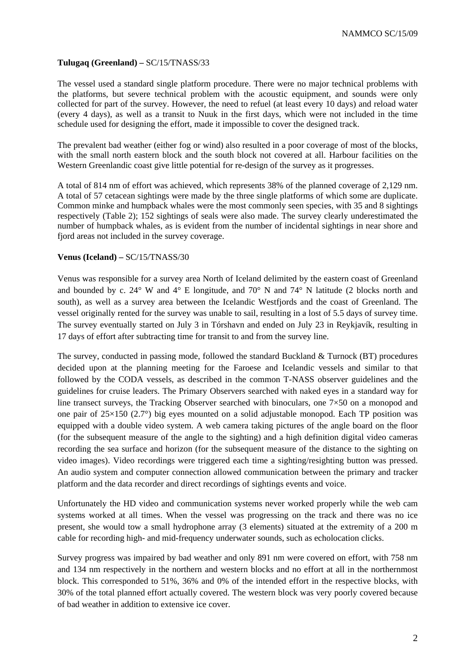#### **Tulugaq (Greenland) –** SC/15/TNASS/33

The vessel used a standard single platform procedure. There were no major technical problems with the platforms, but severe technical problem with the acoustic equipment, and sounds were only collected for part of the survey. However, the need to refuel (at least every 10 days) and reload water (every 4 days), as well as a transit to Nuuk in the first days, which were not included in the time schedule used for designing the effort, made it impossible to cover the designed track.

The prevalent bad weather (either fog or wind) also resulted in a poor coverage of most of the blocks, with the small north eastern block and the south block not covered at all. Harbour facilities on the Western Greenlandic coast give little potential for re-design of the survey as it progresses.

A total of 814 nm of effort was achieved, which represents 38% of the planned coverage of 2,129 nm. A total of 57 cetacean sightings were made by the three single platforms of which some are duplicate. Common minke and humpback whales were the most commonly seen species, with 35 and 8 sightings respectively (Table 2); 152 sightings of seals were also made. The survey clearly underestimated the number of humpback whales, as is evident from the number of incidental sightings in near shore and fjord areas not included in the survey coverage.

#### **Venus (Iceland) –** SC/15/TNASS/30

Venus was responsible for a survey area North of Iceland delimited by the eastern coast of Greenland and bounded by c.  $24^{\circ}$  W and  $4^{\circ}$  E longitude, and  $70^{\circ}$  N and  $74^{\circ}$  N latitude (2 blocks north and south), as well as a survey area between the Icelandic Westfjords and the coast of Greenland. The vessel originally rented for the survey was unable to sail, resulting in a lost of 5.5 days of survey time. The survey eventually started on July 3 in Tórshavn and ended on July 23 in Reykjavík, resulting in 17 days of effort after subtracting time for transit to and from the survey line.

The survey, conducted in passing mode, followed the standard Buckland & Turnock (BT) procedures decided upon at the planning meeting for the Faroese and Icelandic vessels and similar to that followed by the CODA vessels, as described in the common T-NASS observer guidelines and the guidelines for cruise leaders. The Primary Observers searched with naked eyes in a standard way for line transect surveys, the Tracking Observer searched with binoculars, one  $7\times50$  on a monopod and one pair of 25×150 (2.7°) big eyes mounted on a solid adjustable monopod. Each TP position was equipped with a double video system. A web camera taking pictures of the angle board on the floor (for the subsequent measure of the angle to the sighting) and a high definition digital video cameras recording the sea surface and horizon (for the subsequent measure of the distance to the sighting on video images). Video recordings were triggered each time a sighting/resighting button was pressed. An audio system and computer connection allowed communication between the primary and tracker platform and the data recorder and direct recordings of sightings events and voice.

Unfortunately the HD video and communication systems never worked properly while the web cam systems worked at all times. When the vessel was progressing on the track and there was no ice present, she would tow a small hydrophone array (3 elements) situated at the extremity of a 200 m cable for recording high- and mid-frequency underwater sounds, such as echolocation clicks.

Survey progress was impaired by bad weather and only 891 nm were covered on effort, with 758 nm and 134 nm respectively in the northern and western blocks and no effort at all in the northernmost block. This corresponded to 51%, 36% and 0% of the intended effort in the respective blocks, with 30% of the total planned effort actually covered. The western block was very poorly covered because of bad weather in addition to extensive ice cover.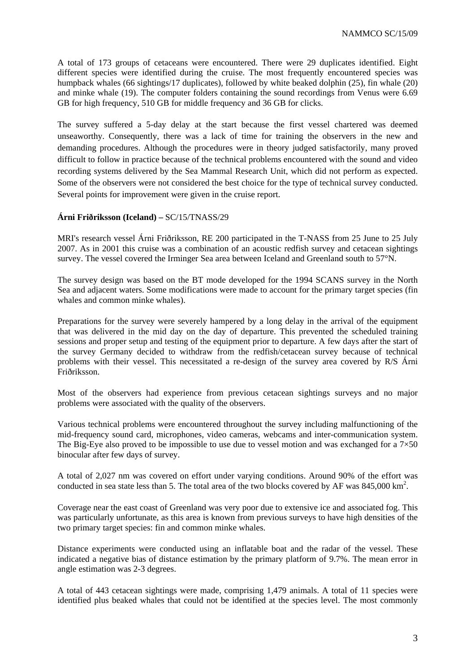A total of 173 groups of cetaceans were encountered. There were 29 duplicates identified. Eight different species were identified during the cruise. The most frequently encountered species was humpback whales (66 sightings/17 duplicates), followed by white beaked dolphin (25), fin whale (20) and minke whale (19). The computer folders containing the sound recordings from Venus were 6.69 GB for high frequency, 510 GB for middle frequency and 36 GB for clicks.

The survey suffered a 5-day delay at the start because the first vessel chartered was deemed unseaworthy. Consequently, there was a lack of time for training the observers in the new and demanding procedures. Although the procedures were in theory judged satisfactorily, many proved difficult to follow in practice because of the technical problems encountered with the sound and video recording systems delivered by the Sea Mammal Research Unit, which did not perform as expected. Some of the observers were not considered the best choice for the type of technical survey conducted. Several points for improvement were given in the cruise report.

# **Árni Friðriksson (Iceland) –** SC/15/TNASS/29

MRI's research vessel Árni Friðriksson, RE 200 participated in the T-NASS from 25 June to 25 July 2007. As in 2001 this cruise was a combination of an acoustic redfish survey and cetacean sightings survey. The vessel covered the Irminger Sea area between Iceland and Greenland south to 57°N.

The survey design was based on the BT mode developed for the 1994 SCANS survey in the North Sea and adjacent waters. Some modifications were made to account for the primary target species (fin whales and common minke whales).

Preparations for the survey were severely hampered by a long delay in the arrival of the equipment that was delivered in the mid day on the day of departure. This prevented the scheduled training sessions and proper setup and testing of the equipment prior to departure. A few days after the start of the survey Germany decided to withdraw from the redfish/cetacean survey because of technical problems with their vessel. This necessitated a re-design of the survey area covered by R/S Árni Friðriksson.

Most of the observers had experience from previous cetacean sightings surveys and no major problems were associated with the quality of the observers.

Various technical problems were encountered throughout the survey including malfunctioning of the mid-frequency sound card, microphones, video cameras, webcams and inter-communication system. The Big-Eye also proved to be impossible to use due to vessel motion and was exchanged for a  $7\times50$ binocular after few days of survey.

A total of 2,027 nm was covered on effort under varying conditions. Around 90% of the effort was conducted in sea state less than 5. The total area of the two blocks covered by AF was  $845,000 \text{ km}^2$ .

Coverage near the east coast of Greenland was very poor due to extensive ice and associated fog. This was particularly unfortunate, as this area is known from previous surveys to have high densities of the two primary target species: fin and common minke whales.

Distance experiments were conducted using an inflatable boat and the radar of the vessel. These indicated a negative bias of distance estimation by the primary platform of 9.7%. The mean error in angle estimation was 2-3 degrees.

A total of 443 cetacean sightings were made, comprising 1,479 animals. A total of 11 species were identified plus beaked whales that could not be identified at the species level. The most commonly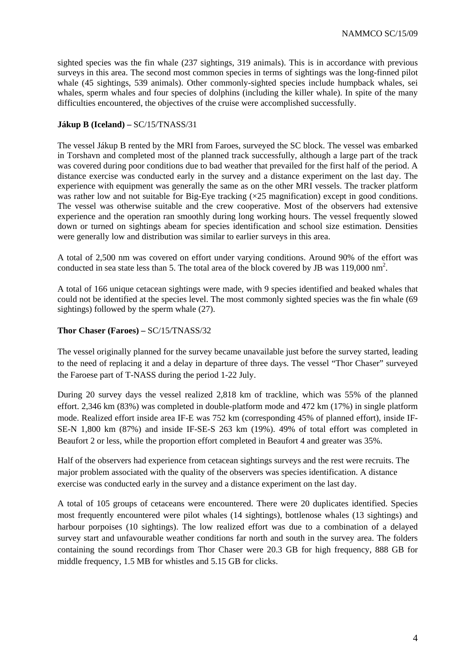sighted species was the fin whale (237 sightings, 319 animals). This is in accordance with previous surveys in this area. The second most common species in terms of sightings was the long-finned pilot whale (45 sightings, 539 animals). Other commonly-sighted species include humpback whales, sei whales, sperm whales and four species of dolphins (including the killer whale). In spite of the many difficulties encountered, the objectives of the cruise were accomplished successfully.

#### **Jákup B (Iceland) –** SC/15/TNASS/31

The vessel Jákup B rented by the MRI from Faroes, surveyed the SC block. The vessel was embarked in Torshavn and completed most of the planned track successfully, although a large part of the track was covered during poor conditions due to bad weather that prevailed for the first half of the period. A distance exercise was conducted early in the survey and a distance experiment on the last day. The experience with equipment was generally the same as on the other MRI vessels. The tracker platform was rather low and not suitable for Big-Eye tracking ( $\times$ 25 magnification) except in good conditions. The vessel was otherwise suitable and the crew cooperative. Most of the observers had extensive experience and the operation ran smoothly during long working hours. The vessel frequently slowed down or turned on sightings abeam for species identification and school size estimation. Densities were generally low and distribution was similar to earlier surveys in this area.

A total of 2,500 nm was covered on effort under varying conditions. Around 90% of the effort was conducted in sea state less than 5. The total area of the block covered by JB was  $119,000$  nm<sup>2</sup>.

A total of 166 unique cetacean sightings were made, with 9 species identified and beaked whales that could not be identified at the species level. The most commonly sighted species was the fin whale (69 sightings) followed by the sperm whale (27).

#### **Thor Chaser (Faroes) –** SC/15/TNASS/32

The vessel originally planned for the survey became unavailable just before the survey started, leading to the need of replacing it and a delay in departure of three days. The vessel "Thor Chaser" surveyed the Faroese part of T-NASS during the period 1-22 July.

During 20 survey days the vessel realized 2,818 km of trackline, which was 55% of the planned effort. 2,346 km (83%) was completed in double-platform mode and 472 km (17%) in single platform mode. Realized effort inside area IF-E was 752 km (corresponding 45% of planned effort), inside IF-SE-N 1,800 km (87%) and inside IF-SE-S 263 km (19%). 49% of total effort was completed in Beaufort 2 or less, while the proportion effort completed in Beaufort 4 and greater was 35%.

Half of the observers had experience from cetacean sightings surveys and the rest were recruits. The major problem associated with the quality of the observers was species identification. A distance exercise was conducted early in the survey and a distance experiment on the last day.

A total of 105 groups of cetaceans were encountered. There were 20 duplicates identified. Species most frequently encountered were pilot whales (14 sightings), bottlenose whales (13 sightings) and harbour porpoises (10 sightings). The low realized effort was due to a combination of a delayed survey start and unfavourable weather conditions far north and south in the survey area. The folders containing the sound recordings from Thor Chaser were 20.3 GB for high frequency, 888 GB for middle frequency, 1.5 MB for whistles and 5.15 GB for clicks.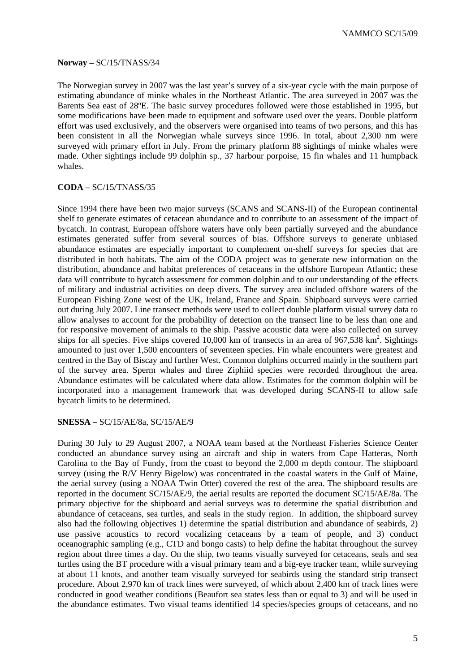NAMMCO SC/15/09

#### **Norway –** SC/15/TNASS/34

The Norwegian survey in 2007 was the last year's survey of a six-year cycle with the main purpose of estimating abundance of minke whales in the Northeast Atlantic. The area surveyed in 2007 was the Barents Sea east of 28ºE. The basic survey procedures followed were those established in 1995, but some modifications have been made to equipment and software used over the years. Double platform effort was used exclusively, and the observers were organised into teams of two persons, and this has been consistent in all the Norwegian whale surveys since 1996. In total, about 2,300 nm were surveyed with primary effort in July. From the primary platform 88 sightings of minke whales were made. Other sightings include 99 dolphin sp., 37 harbour porpoise, 15 fin whales and 11 humpback whales.

#### **CODA –** SC/15/TNASS/35

Since 1994 there have been two major surveys (SCANS and SCANS-II) of the European continental shelf to generate estimates of cetacean abundance and to contribute to an assessment of the impact of bycatch. In contrast, European offshore waters have only been partially surveyed and the abundance estimates generated suffer from several sources of bias. Offshore surveys to generate unbiased abundance estimates are especially important to complement on-shelf surveys for species that are distributed in both habitats. The aim of the CODA project was to generate new information on the distribution, abundance and habitat preferences of cetaceans in the offshore European Atlantic; these data will contribute to bycatch assessment for common dolphin and to our understanding of the effects of military and industrial activities on deep divers. The survey area included offshore waters of the European Fishing Zone west of the UK, Ireland, France and Spain. Shipboard surveys were carried out during July 2007. Line transect methods were used to collect double platform visual survey data to allow analyses to account for the probability of detection on the transect line to be less than one and for responsive movement of animals to the ship. Passive acoustic data were also collected on survey ships for all species. Five ships covered  $10,000$  km of transects in an area of 967,538 km<sup>2</sup>. Sightings amounted to just over 1,500 encounters of seventeen species. Fin whale encounters were greatest and centred in the Bay of Biscay and further West. Common dolphins occurred mainly in the southern part of the survey area. Sperm whales and three Ziphiid species were recorded throughout the area. Abundance estimates will be calculated where data allow. Estimates for the common dolphin will be incorporated into a management framework that was developed during SCANS-II to allow safe bycatch limits to be determined.

# **SNESSA –** SC/15/AE/8a, SC/15/AE/9

During 30 July to 29 August 2007, a NOAA team based at the Northeast Fisheries Science Center conducted an abundance survey using an aircraft and ship in waters from Cape Hatteras, North Carolina to the Bay of Fundy, from the coast to beyond the 2,000 m depth contour. The shipboard survey (using the R/V Henry Bigelow) was concentrated in the coastal waters in the Gulf of Maine, the aerial survey (using a NOAA Twin Otter) covered the rest of the area. The shipboard results are reported in the document SC/15/AE/9, the aerial results are reported the document SC/15/AE/8a. The primary objective for the shipboard and aerial surveys was to determine the spatial distribution and abundance of cetaceans, sea turtles, and seals in the study region. In addition, the shipboard survey also had the following objectives 1) determine the spatial distribution and abundance of seabirds, 2) use passive acoustics to record vocalizing cetaceans by a team of people, and 3) conduct oceanographic sampling (e.g., CTD and bongo casts) to help define the habitat throughout the survey region about three times a day. On the ship, two teams visually surveyed for cetaceans, seals and sea turtles using the BT procedure with a visual primary team and a big-eye tracker team, while surveying at about 11 knots, and another team visually surveyed for seabirds using the standard strip transect procedure. About 2,970 km of track lines were surveyed, of which about 2,400 km of track lines were conducted in good weather conditions (Beaufort sea states less than or equal to 3) and will be used in the abundance estimates. Two visual teams identified 14 species/species groups of cetaceans, and no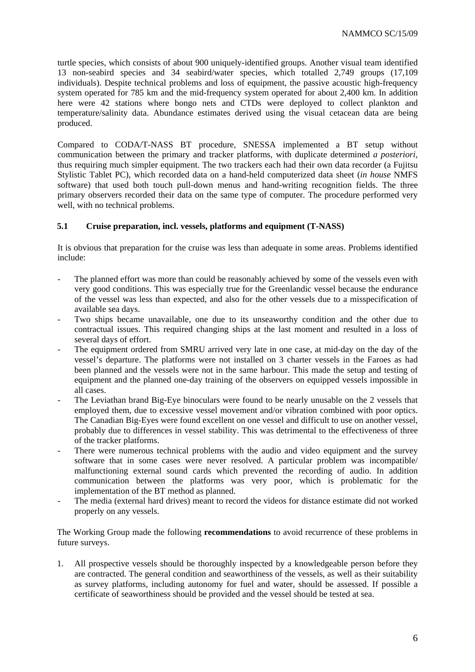turtle species, which consists of about 900 uniquely-identified groups. Another visual team identified 13 non-seabird species and 34 seabird/water species, which totalled 2,749 groups (17,109 individuals). Despite technical problems and loss of equipment, the passive acoustic high-frequency system operated for 785 km and the mid-frequency system operated for about 2,400 km. In addition here were 42 stations where bongo nets and CTDs were deployed to collect plankton and temperature/salinity data. Abundance estimates derived using the visual cetacean data are being produced.

Compared to CODA/T-NASS BT procedure, SNESSA implemented a BT setup without communication between the primary and tracker platforms, with duplicate determined *a posteriori*, thus requiring much simpler equipment. The two trackers each had their own data recorder (a Fujitsu Stylistic Tablet PC), which recorded data on a hand-held computerized data sheet (*in house* NMFS software) that used both touch pull-down menus and hand-writing recognition fields. The three primary observers recorded their data on the same type of computer. The procedure performed very well, with no technical problems.

# **5.1 Cruise preparation, incl. vessels, platforms and equipment (T-NASS)**

It is obvious that preparation for the cruise was less than adequate in some areas. Problems identified include:

- The planned effort was more than could be reasonably achieved by some of the vessels even with very good conditions. This was especially true for the Greenlandic vessel because the endurance of the vessel was less than expected, and also for the other vessels due to a misspecification of available sea days.
- Two ships became unavailable, one due to its unseaworthy condition and the other due to contractual issues. This required changing ships at the last moment and resulted in a loss of several days of effort.
- The equipment ordered from SMRU arrived very late in one case, at mid-day on the day of the vessel's departure. The platforms were not installed on 3 charter vessels in the Faroes as had been planned and the vessels were not in the same harbour. This made the setup and testing of equipment and the planned one-day training of the observers on equipped vessels impossible in all cases.
- The Leviathan brand Big-Eye binoculars were found to be nearly unusable on the 2 vessels that employed them, due to excessive vessel movement and/or vibration combined with poor optics. The Canadian Big-Eyes were found excellent on one vessel and difficult to use on another vessel, probably due to differences in vessel stability. This was detrimental to the effectiveness of three of the tracker platforms.
- There were numerous technical problems with the audio and video equipment and the survey software that in some cases were never resolved. A particular problem was incompatible/ malfunctioning external sound cards which prevented the recording of audio. In addition communication between the platforms was very poor, which is problematic for the implementation of the BT method as planned.
- The media (external hard drives) meant to record the videos for distance estimate did not worked properly on any vessels.

The Working Group made the following **recommendations** to avoid recurrence of these problems in future surveys.

1. All prospective vessels should be thoroughly inspected by a knowledgeable person before they are contracted. The general condition and seaworthiness of the vessels, as well as their suitability as survey platforms, including autonomy for fuel and water, should be assessed. If possible a certificate of seaworthiness should be provided and the vessel should be tested at sea.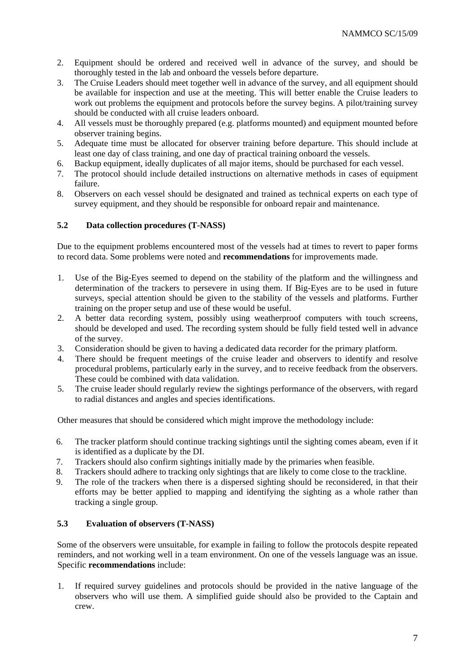- 2. Equipment should be ordered and received well in advance of the survey, and should be thoroughly tested in the lab and onboard the vessels before departure.
- 3. The Cruise Leaders should meet together well in advance of the survey, and all equipment should be available for inspection and use at the meeting. This will better enable the Cruise leaders to work out problems the equipment and protocols before the survey begins. A pilot/training survey should be conducted with all cruise leaders onboard.
- 4. All vessels must be thoroughly prepared (e.g. platforms mounted) and equipment mounted before observer training begins.
- 5. Adequate time must be allocated for observer training before departure. This should include at least one day of class training, and one day of practical training onboard the vessels.
- 6. Backup equipment, ideally duplicates of all major items, should be purchased for each vessel.
- 7. The protocol should include detailed instructions on alternative methods in cases of equipment failure.
- 8. Observers on each vessel should be designated and trained as technical experts on each type of survey equipment, and they should be responsible for onboard repair and maintenance.

# **5.2 Data collection procedures (T-NASS)**

Due to the equipment problems encountered most of the vessels had at times to revert to paper forms to record data. Some problems were noted and **recommendations** for improvements made.

- 1. Use of the Big-Eyes seemed to depend on the stability of the platform and the willingness and determination of the trackers to persevere in using them. If Big-Eyes are to be used in future surveys, special attention should be given to the stability of the vessels and platforms. Further training on the proper setup and use of these would be useful.
- 2. A better data recording system, possibly using weatherproof computers with touch screens, should be developed and used. The recording system should be fully field tested well in advance of the survey.
- 3. Consideration should be given to having a dedicated data recorder for the primary platform.
- 4. There should be frequent meetings of the cruise leader and observers to identify and resolve procedural problems, particularly early in the survey, and to receive feedback from the observers. These could be combined with data validation.
- 5. The cruise leader should regularly review the sightings performance of the observers, with regard to radial distances and angles and species identifications.

Other measures that should be considered which might improve the methodology include:

- 6. The tracker platform should continue tracking sightings until the sighting comes abeam, even if it is identified as a duplicate by the DI.
- 7. Trackers should also confirm sightings initially made by the primaries when feasible.
- 8. Trackers should adhere to tracking only sightings that are likely to come close to the trackline.
- 9. The role of the trackers when there is a dispersed sighting should be reconsidered, in that their efforts may be better applied to mapping and identifying the sighting as a whole rather than tracking a single group.

# **5.3 Evaluation of observers (T-NASS)**

Some of the observers were unsuitable, for example in failing to follow the protocols despite repeated reminders, and not working well in a team environment. On one of the vessels language was an issue. Specific **recommendations** include:

1. If required survey guidelines and protocols should be provided in the native language of the observers who will use them. A simplified guide should also be provided to the Captain and crew.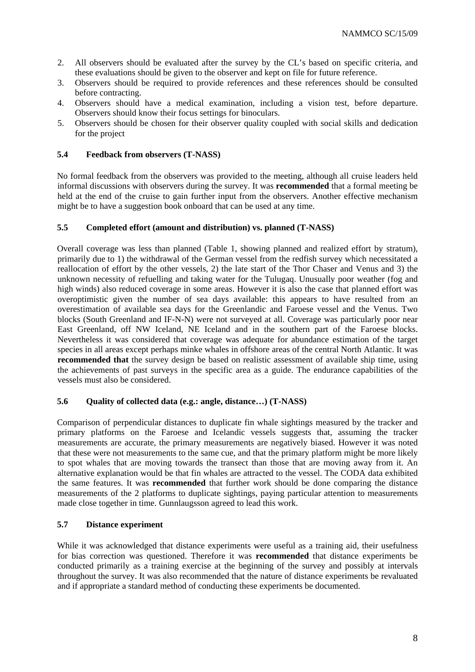- 2. All observers should be evaluated after the survey by the CL's based on specific criteria, and these evaluations should be given to the observer and kept on file for future reference.
- 3. Observers should be required to provide references and these references should be consulted before contracting.
- 4. Observers should have a medical examination, including a vision test, before departure. Observers should know their focus settings for binoculars.
- 5. Observers should be chosen for their observer quality coupled with social skills and dedication for the project

#### **5.4 Feedback from observers (T-NASS)**

No formal feedback from the observers was provided to the meeting, although all cruise leaders held informal discussions with observers during the survey. It was **recommended** that a formal meeting be held at the end of the cruise to gain further input from the observers. Another effective mechanism might be to have a suggestion book onboard that can be used at any time.

#### **5.5 Completed effort (amount and distribution) vs. planned (T-NASS)**

Overall coverage was less than planned (Table 1, showing planned and realized effort by stratum), primarily due to 1) the withdrawal of the German vessel from the redfish survey which necessitated a reallocation of effort by the other vessels, 2) the late start of the Thor Chaser and Venus and 3) the unknown necessity of refuelling and taking water for the Tulugaq. Unusually poor weather (fog and high winds) also reduced coverage in some areas. However it is also the case that planned effort was overoptimistic given the number of sea days available: this appears to have resulted from an overestimation of available sea days for the Greenlandic and Faroese vessel and the Venus. Two blocks (South Greenland and IF-N-N) were not surveyed at all. Coverage was particularly poor near East Greenland, off NW Iceland, NE Iceland and in the southern part of the Faroese blocks. Nevertheless it was considered that coverage was adequate for abundance estimation of the target species in all areas except perhaps minke whales in offshore areas of the central North Atlantic. It was **recommended that** the survey design be based on realistic assessment of available ship time, using the achievements of past surveys in the specific area as a guide. The endurance capabilities of the vessels must also be considered.

#### **5.6 Quality of collected data (e.g.: angle, distance…) (T-NASS)**

Comparison of perpendicular distances to duplicate fin whale sightings measured by the tracker and primary platforms on the Faroese and Icelandic vessels suggests that, assuming the tracker measurements are accurate, the primary measurements are negatively biased. However it was noted that these were not measurements to the same cue, and that the primary platform might be more likely to spot whales that are moving towards the transect than those that are moving away from it. An alternative explanation would be that fin whales are attracted to the vessel. The CODA data exhibited the same features. It was **recommended** that further work should be done comparing the distance measurements of the 2 platforms to duplicate sightings, paying particular attention to measurements made close together in time. Gunnlaugsson agreed to lead this work.

#### **5.7 Distance experiment**

While it was acknowledged that distance experiments were useful as a training aid, their usefulness for bias correction was questioned. Therefore it was **recommended** that distance experiments be conducted primarily as a training exercise at the beginning of the survey and possibly at intervals throughout the survey. It was also recommended that the nature of distance experiments be revaluated and if appropriate a standard method of conducting these experiments be documented.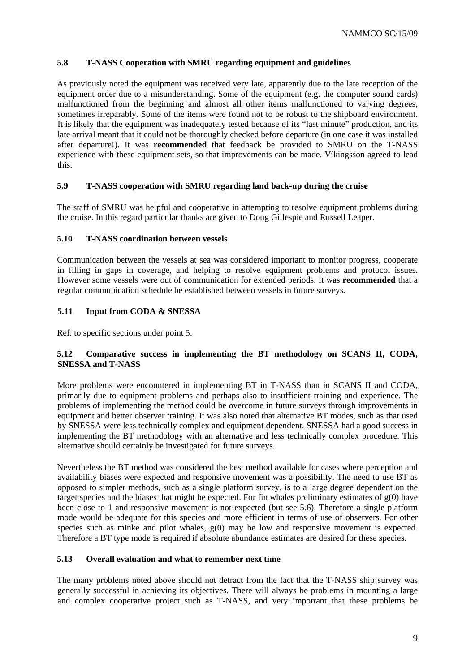# **5.8 T-NASS Cooperation with SMRU regarding equipment and guidelines**

As previously noted the equipment was received very late, apparently due to the late reception of the equipment order due to a misunderstanding. Some of the equipment (e.g. the computer sound cards) malfunctioned from the beginning and almost all other items malfunctioned to varying degrees, sometimes irreparably. Some of the items were found not to be robust to the shipboard environment. It is likely that the equipment was inadequately tested because of its "last minute" production, and its late arrival meant that it could not be thoroughly checked before departure (in one case it was installed after departure!). It was **recommended** that feedback be provided to SMRU on the T-NASS experience with these equipment sets, so that improvements can be made. Víkingsson agreed to lead this.

# **5.9 T-NASS cooperation with SMRU regarding land back-up during the cruise**

The staff of SMRU was helpful and cooperative in attempting to resolve equipment problems during the cruise. In this regard particular thanks are given to Doug Gillespie and Russell Leaper.

#### **5.10 T-NASS coordination between vessels**

Communication between the vessels at sea was considered important to monitor progress, cooperate in filling in gaps in coverage, and helping to resolve equipment problems and protocol issues. However some vessels were out of communication for extended periods. It was **recommended** that a regular communication schedule be established between vessels in future surveys.

# **5.11 Input from CODA & SNESSA**

Ref. to specific sections under point 5.

# **5.12 Comparative success in implementing the BT methodology on SCANS II, CODA, SNESSA and T-NASS**

More problems were encountered in implementing BT in T-NASS than in SCANS II and CODA, primarily due to equipment problems and perhaps also to insufficient training and experience. The problems of implementing the method could be overcome in future surveys through improvements in equipment and better observer training. It was also noted that alternative BT modes, such as that used by SNESSA were less technically complex and equipment dependent. SNESSA had a good success in implementing the BT methodology with an alternative and less technically complex procedure. This alternative should certainly be investigated for future surveys.

Nevertheless the BT method was considered the best method available for cases where perception and availability biases were expected and responsive movement was a possibility. The need to use BT as opposed to simpler methods, such as a single platform survey, is to a large degree dependent on the target species and the biases that might be expected. For fin whales preliminary estimates of  $g(0)$  have been close to 1 and responsive movement is not expected (but see 5.6). Therefore a single platform mode would be adequate for this species and more efficient in terms of use of observers. For other species such as minke and pilot whales,  $g(0)$  may be low and responsive movement is expected. Therefore a BT type mode is required if absolute abundance estimates are desired for these species.

#### **5.13 Overall evaluation and what to remember next time**

The many problems noted above should not detract from the fact that the T-NASS ship survey was generally successful in achieving its objectives. There will always be problems in mounting a large and complex cooperative project such as T-NASS, and very important that these problems be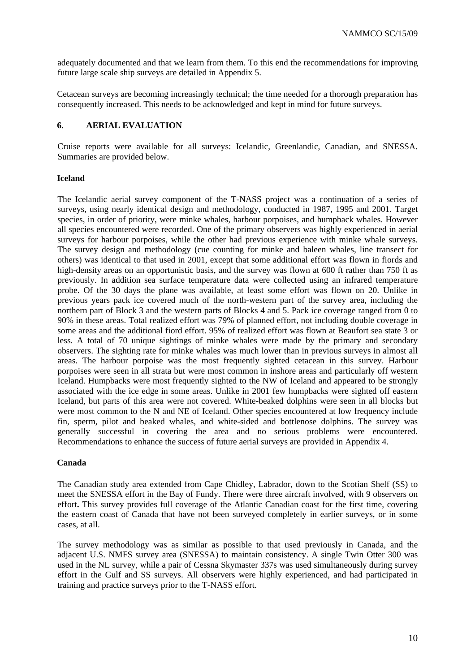adequately documented and that we learn from them. To this end the recommendations for improving future large scale ship surveys are detailed in Appendix 5.

Cetacean surveys are becoming increasingly technical; the time needed for a thorough preparation has consequently increased. This needs to be acknowledged and kept in mind for future surveys.

# **6. AERIAL EVALUATION**

Cruise reports were available for all surveys: Icelandic, Greenlandic, Canadian, and SNESSA. Summaries are provided below.

#### **Iceland**

The Icelandic aerial survey component of the T-NASS project was a continuation of a series of surveys, using nearly identical design and methodology, conducted in 1987, 1995 and 2001. Target species, in order of priority, were minke whales, harbour porpoises, and humpback whales. However all species encountered were recorded. One of the primary observers was highly experienced in aerial surveys for harbour porpoises, while the other had previous experience with minke whale surveys. The survey design and methodology (cue counting for minke and baleen whales, line transect for others) was identical to that used in 2001, except that some additional effort was flown in fiords and high-density areas on an opportunistic basis, and the survey was flown at 600 ft rather than 750 ft as previously. In addition sea surface temperature data were collected using an infrared temperature probe. Of the 30 days the plane was available, at least some effort was flown on 20. Unlike in previous years pack ice covered much of the north-western part of the survey area, including the northern part of Block 3 and the western parts of Blocks 4 and 5. Pack ice coverage ranged from 0 to 90% in these areas. Total realized effort was 79% of planned effort, not including double coverage in some areas and the additional fiord effort. 95% of realized effort was flown at Beaufort sea state 3 or less. A total of 70 unique sightings of minke whales were made by the primary and secondary observers. The sighting rate for minke whales was much lower than in previous surveys in almost all areas. The harbour porpoise was the most frequently sighted cetacean in this survey. Harbour porpoises were seen in all strata but were most common in inshore areas and particularly off western Iceland. Humpbacks were most frequently sighted to the NW of Iceland and appeared to be strongly associated with the ice edge in some areas. Unlike in 2001 few humpbacks were sighted off eastern Iceland, but parts of this area were not covered. White-beaked dolphins were seen in all blocks but were most common to the N and NE of Iceland. Other species encountered at low frequency include fin, sperm, pilot and beaked whales, and white-sided and bottlenose dolphins. The survey was generally successful in covering the area and no serious problems were encountered. Recommendations to enhance the success of future aerial surveys are provided in Appendix 4.

# **Canada**

The Canadian study area extended from Cape Chidley, Labrador, down to the Scotian Shelf (SS) to meet the SNESSA effort in the Bay of Fundy. There were three aircraft involved, with 9 observers on effort**.** This survey provides full coverage of the Atlantic Canadian coast for the first time, covering the eastern coast of Canada that have not been surveyed completely in earlier surveys, or in some cases, at all.

The survey methodology was as similar as possible to that used previously in Canada, and the adjacent U.S. NMFS survey area (SNESSA) to maintain consistency. A single Twin Otter 300 was used in the NL survey, while a pair of Cessna Skymaster 337s was used simultaneously during survey effort in the Gulf and SS surveys. All observers were highly experienced, and had participated in training and practice surveys prior to the T-NASS effort.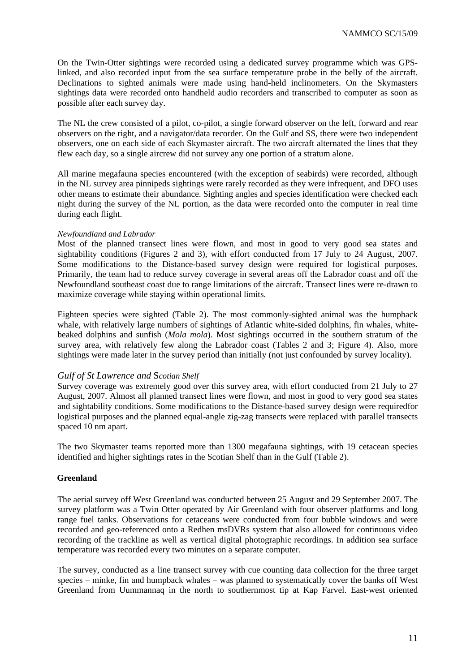On the Twin-Otter sightings were recorded using a dedicated survey programme which was GPSlinked, and also recorded input from the sea surface temperature probe in the belly of the aircraft. Declinations to sighted animals were made using hand-held inclinometers. On the Skymasters sightings data were recorded onto handheld audio recorders and transcribed to computer as soon as possible after each survey day.

The NL the crew consisted of a pilot, co-pilot, a single forward observer on the left, forward and rear observers on the right, and a navigator/data recorder. On the Gulf and SS, there were two independent observers, one on each side of each Skymaster aircraft. The two aircraft alternated the lines that they flew each day, so a single aircrew did not survey any one portion of a stratum alone.

All marine megafauna species encountered (with the exception of seabirds) were recorded, although in the NL survey area pinnipeds sightings were rarely recorded as they were infrequent, and DFO uses other means to estimate their abundance. Sighting angles and species identification were checked each night during the survey of the NL portion, as the data were recorded onto the computer in real time during each flight.

#### *Newfoundland and Labrador*

Most of the planned transect lines were flown, and most in good to very good sea states and sightability conditions (Figures 2 and 3), with effort conducted from 17 July to 24 August, 2007. Some modifications to the Distance-based survey design were required for logistical purposes. Primarily, the team had to reduce survey coverage in several areas off the Labrador coast and off the Newfoundland southeast coast due to range limitations of the aircraft. Transect lines were re-drawn to maximize coverage while staying within operational limits.

Eighteen species were sighted (Table 2). The most commonly-sighted animal was the humpback whale, with relatively large numbers of sightings of Atlantic white-sided dolphins, fin whales, whitebeaked dolphins and sunfish (*Mola mola*). Most sightings occurred in the southern stratum of the survey area, with relatively few along the Labrador coast (Tables 2 and 3; Figure 4). Also, more sightings were made later in the survey period than initially (not just confounded by survey locality).

#### *Gulf of St Lawrence and* S*cotian Shelf*

Survey coverage was extremely good over this survey area, with effort conducted from 21 July to 27 August, 2007. Almost all planned transect lines were flown, and most in good to very good sea states and sightability conditions. Some modifications to the Distance-based survey design were requiredfor logistical purposes and the planned equal-angle zig-zag transects were replaced with parallel transects spaced 10 nm apart.

The two Skymaster teams reported more than 1300 megafauna sightings, with 19 cetacean species identified and higher sightings rates in the Scotian Shelf than in the Gulf (Table 2).

#### **Greenland**

The aerial survey off West Greenland was conducted between 25 August and 29 September 2007. The survey platform was a Twin Otter operated by Air Greenland with four observer platforms and long range fuel tanks. Observations for cetaceans were conducted from four bubble windows and were recorded and geo-referenced onto a Redhen msDVRs system that also allowed for continuous video recording of the trackline as well as vertical digital photographic recordings. In addition sea surface temperature was recorded every two minutes on a separate computer.

The survey, conducted as a line transect survey with cue counting data collection for the three target species – minke, fin and humpback whales – was planned to systematically cover the banks off West Greenland from Uummannaq in the north to southernmost tip at Kap Farvel. East-west oriented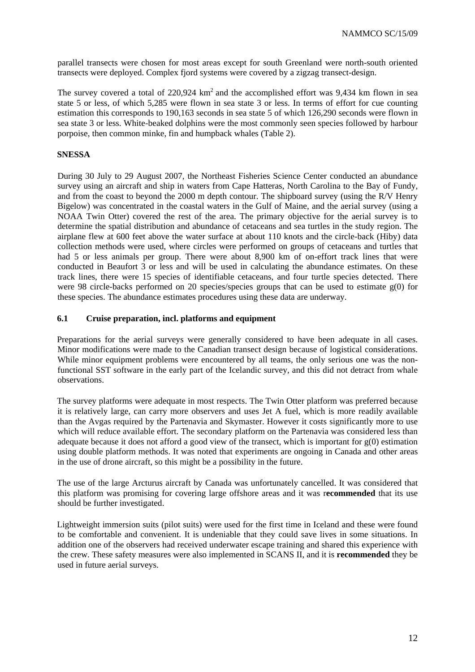parallel transects were chosen for most areas except for south Greenland were north-south oriented transects were deployed. Complex fjord systems were covered by a zigzag transect-design.

The survey covered a total of  $220.924 \text{ km}^2$  and the accomplished effort was 9,434 km flown in sea state 5 or less, of which 5,285 were flown in sea state 3 or less. In terms of effort for cue counting estimation this corresponds to 190,163 seconds in sea state 5 of which 126,290 seconds were flown in sea state 3 or less. White-beaked dolphins were the most commonly seen species followed by harbour porpoise, then common minke, fin and humpback whales (Table 2).

# **SNESSA**

During 30 July to 29 August 2007, the Northeast Fisheries Science Center conducted an abundance survey using an aircraft and ship in waters from Cape Hatteras, North Carolina to the Bay of Fundy, and from the coast to beyond the 2000 m depth contour. The shipboard survey (using the R/V Henry Bigelow) was concentrated in the coastal waters in the Gulf of Maine, and the aerial survey (using a NOAA Twin Otter) covered the rest of the area. The primary objective for the aerial survey is to determine the spatial distribution and abundance of cetaceans and sea turtles in the study region. The airplane flew at 600 feet above the water surface at about 110 knots and the circle-back (Hiby) data collection methods were used, where circles were performed on groups of cetaceans and turtles that had 5 or less animals per group. There were about 8,900 km of on-effort track lines that were conducted in Beaufort 3 or less and will be used in calculating the abundance estimates. On these track lines, there were 15 species of identifiable cetaceans, and four turtle species detected. There were 98 circle-backs performed on 20 species/species groups that can be used to estimate g(0) for these species. The abundance estimates procedures using these data are underway.

#### **6.1 Cruise preparation, incl. platforms and equipment**

Preparations for the aerial surveys were generally considered to have been adequate in all cases. Minor modifications were made to the Canadian transect design because of logistical considerations. While minor equipment problems were encountered by all teams, the only serious one was the nonfunctional SST software in the early part of the Icelandic survey, and this did not detract from whale observations.

The survey platforms were adequate in most respects. The Twin Otter platform was preferred because it is relatively large, can carry more observers and uses Jet A fuel, which is more readily available than the Avgas required by the Partenavia and Skymaster. However it costs significantly more to use which will reduce available effort. The secondary platform on the Partenavia was considered less than adequate because it does not afford a good view of the transect, which is important for g(0) estimation using double platform methods. It was noted that experiments are ongoing in Canada and other areas in the use of drone aircraft, so this might be a possibility in the future.

The use of the large Arcturus aircraft by Canada was unfortunately cancelled. It was considered that this platform was promising for covering large offshore areas and it was r**ecommended** that its use should be further investigated.

Lightweight immersion suits (pilot suits) were used for the first time in Iceland and these were found to be comfortable and convenient. It is undeniable that they could save lives in some situations. In addition one of the observers had received underwater escape training and shared this experience with the crew. These safety measures were also implemented in SCANS II, and it is **recommended** they be used in future aerial surveys.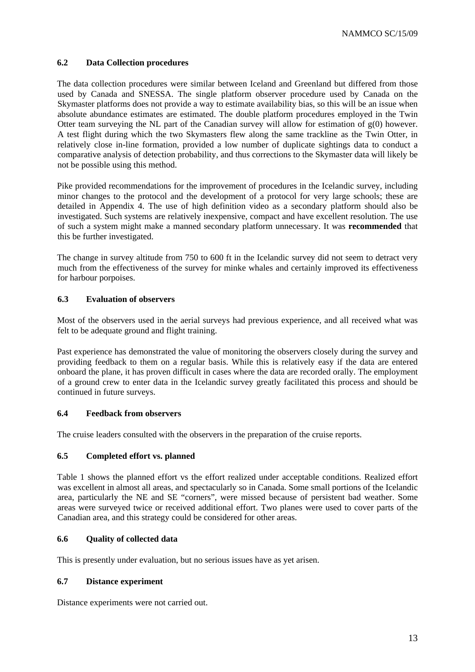NAMMCO SC/15/09

#### **6.2 Data Collection procedures**

The data collection procedures were similar between Iceland and Greenland but differed from those used by Canada and SNESSA. The single platform observer procedure used by Canada on the Skymaster platforms does not provide a way to estimate availability bias, so this will be an issue when absolute abundance estimates are estimated. The double platform procedures employed in the Twin Otter team surveying the NL part of the Canadian survey will allow for estimation of  $g(0)$  however. A test flight during which the two Skymasters flew along the same trackline as the Twin Otter, in relatively close in-line formation, provided a low number of duplicate sightings data to conduct a comparative analysis of detection probability, and thus corrections to the Skymaster data will likely be not be possible using this method.

Pike provided recommendations for the improvement of procedures in the Icelandic survey, including minor changes to the protocol and the development of a protocol for very large schools; these are detailed in Appendix 4. The use of high definition video as a secondary platform should also be investigated. Such systems are relatively inexpensive, compact and have excellent resolution. The use of such a system might make a manned secondary platform unnecessary. It was **recommended** that this be further investigated.

The change in survey altitude from 750 to 600 ft in the Icelandic survey did not seem to detract very much from the effectiveness of the survey for minke whales and certainly improved its effectiveness for harbour porpoises.

# **6.3 Evaluation of observers**

Most of the observers used in the aerial surveys had previous experience, and all received what was felt to be adequate ground and flight training.

Past experience has demonstrated the value of monitoring the observers closely during the survey and providing feedback to them on a regular basis. While this is relatively easy if the data are entered onboard the plane, it has proven difficult in cases where the data are recorded orally. The employment of a ground crew to enter data in the Icelandic survey greatly facilitated this process and should be continued in future surveys.

#### **6.4 Feedback from observers**

The cruise leaders consulted with the observers in the preparation of the cruise reports.

#### **6.5 Completed effort vs. planned**

Table 1 shows the planned effort vs the effort realized under acceptable conditions. Realized effort was excellent in almost all areas, and spectacularly so in Canada. Some small portions of the Icelandic area, particularly the NE and SE "corners", were missed because of persistent bad weather. Some areas were surveyed twice or received additional effort. Two planes were used to cover parts of the Canadian area, and this strategy could be considered for other areas.

#### **6.6 Quality of collected data**

This is presently under evaluation, but no serious issues have as yet arisen.

#### **6.7 Distance experiment**

Distance experiments were not carried out.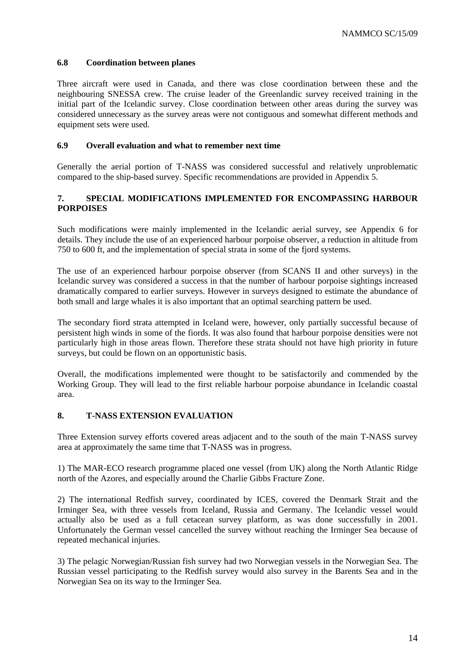#### **6.8 Coordination between planes**

Three aircraft were used in Canada, and there was close coordination between these and the neighbouring SNESSA crew. The cruise leader of the Greenlandic survey received training in the initial part of the Icelandic survey. Close coordination between other areas during the survey was considered unnecessary as the survey areas were not contiguous and somewhat different methods and equipment sets were used.

#### **6.9 Overall evaluation and what to remember next time**

Generally the aerial portion of T-NASS was considered successful and relatively unproblematic compared to the ship-based survey. Specific recommendations are provided in Appendix 5.

# **7. SPECIAL MODIFICATIONS IMPLEMENTED FOR ENCOMPASSING HARBOUR PORPOISES**

Such modifications were mainly implemented in the Icelandic aerial survey, see Appendix 6 for details. They include the use of an experienced harbour porpoise observer, a reduction in altitude from 750 to 600 ft, and the implementation of special strata in some of the fjord systems.

The use of an experienced harbour porpoise observer (from SCANS II and other surveys) in the Icelandic survey was considered a success in that the number of harbour porpoise sightings increased dramatically compared to earlier surveys. However in surveys designed to estimate the abundance of both small and large whales it is also important that an optimal searching pattern be used.

The secondary fiord strata attempted in Iceland were, however, only partially successful because of persistent high winds in some of the fiords. It was also found that harbour porpoise densities were not particularly high in those areas flown. Therefore these strata should not have high priority in future surveys, but could be flown on an opportunistic basis.

Overall, the modifications implemented were thought to be satisfactorily and commended by the Working Group. They will lead to the first reliable harbour porpoise abundance in Icelandic coastal area.

# **8. T-NASS EXTENSION EVALUATION**

Three Extension survey efforts covered areas adjacent and to the south of the main T-NASS survey area at approximately the same time that T-NASS was in progress.

1) The MAR-ECO research programme placed one vessel (from UK) along the North Atlantic Ridge north of the Azores, and especially around the Charlie Gibbs Fracture Zone.

2) The international Redfish survey, coordinated by ICES, covered the Denmark Strait and the Irminger Sea, with three vessels from Iceland, Russia and Germany. The Icelandic vessel would actually also be used as a full cetacean survey platform, as was done successfully in 2001. Unfortunately the German vessel cancelled the survey without reaching the Irminger Sea because of repeated mechanical injuries.

3) The pelagic Norwegian/Russian fish survey had two Norwegian vessels in the Norwegian Sea. The Russian vessel participating to the Redfish survey would also survey in the Barents Sea and in the Norwegian Sea on its way to the Irminger Sea.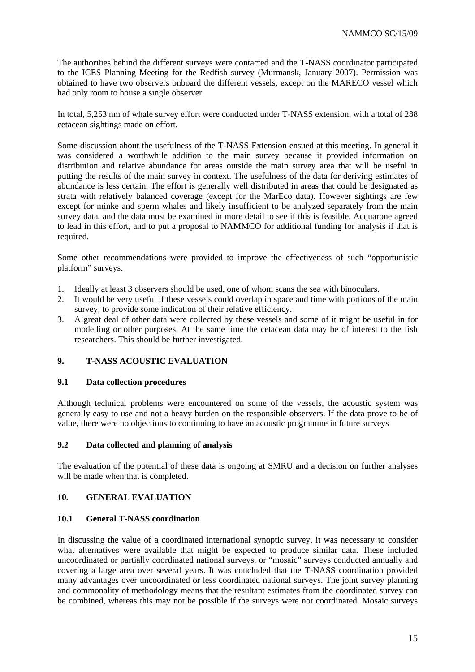The authorities behind the different surveys were contacted and the T-NASS coordinator participated to the ICES Planning Meeting for the Redfish survey (Murmansk, January 2007). Permission was obtained to have two observers onboard the different vessels, except on the MARECO vessel which had only room to house a single observer.

In total, 5,253 nm of whale survey effort were conducted under T-NASS extension, with a total of 288 cetacean sightings made on effort.

Some discussion about the usefulness of the T-NASS Extension ensued at this meeting. In general it was considered a worthwhile addition to the main survey because it provided information on distribution and relative abundance for areas outside the main survey area that will be useful in putting the results of the main survey in context. The usefulness of the data for deriving estimates of abundance is less certain. The effort is generally well distributed in areas that could be designated as strata with relatively balanced coverage (except for the MarEco data). However sightings are few except for minke and sperm whales and likely insufficient to be analyzed separately from the main survey data, and the data must be examined in more detail to see if this is feasible. Acquarone agreed to lead in this effort, and to put a proposal to NAMMCO for additional funding for analysis if that is required.

Some other recommendations were provided to improve the effectiveness of such "opportunistic platform" surveys.

- 1. Ideally at least 3 observers should be used, one of whom scans the sea with binoculars.
- 2. It would be very useful if these vessels could overlap in space and time with portions of the main survey, to provide some indication of their relative efficiency.
- 3. A great deal of other data were collected by these vessels and some of it might be useful in for modelling or other purposes. At the same time the cetacean data may be of interest to the fish researchers. This should be further investigated.

# **9. T-NASS ACOUSTIC EVALUATION**

#### **9.1 Data collection procedures**

Although technical problems were encountered on some of the vessels, the acoustic system was generally easy to use and not a heavy burden on the responsible observers. If the data prove to be of value, there were no objections to continuing to have an acoustic programme in future surveys

#### **9.2 Data collected and planning of analysis**

The evaluation of the potential of these data is ongoing at SMRU and a decision on further analyses will be made when that is completed.

#### **10. GENERAL EVALUATION**

#### **10.1 General T-NASS coordination**

In discussing the value of a coordinated international synoptic survey, it was necessary to consider what alternatives were available that might be expected to produce similar data. These included uncoordinated or partially coordinated national surveys, or "mosaic" surveys conducted annually and covering a large area over several years. It was concluded that the T-NASS coordination provided many advantages over uncoordinated or less coordinated national surveys. The joint survey planning and commonality of methodology means that the resultant estimates from the coordinated survey can be combined, whereas this may not be possible if the surveys were not coordinated. Mosaic surveys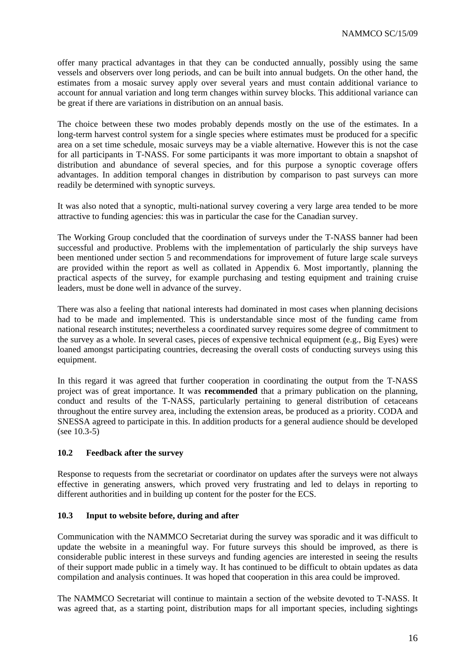offer many practical advantages in that they can be conducted annually, possibly using the same vessels and observers over long periods, and can be built into annual budgets. On the other hand, the estimates from a mosaic survey apply over several years and must contain additional variance to account for annual variation and long term changes within survey blocks. This additional variance can be great if there are variations in distribution on an annual basis.

The choice between these two modes probably depends mostly on the use of the estimates. In a long-term harvest control system for a single species where estimates must be produced for a specific area on a set time schedule, mosaic surveys may be a viable alternative. However this is not the case for all participants in T-NASS. For some participants it was more important to obtain a snapshot of distribution and abundance of several species, and for this purpose a synoptic coverage offers advantages. In addition temporal changes in distribution by comparison to past surveys can more readily be determined with synoptic surveys.

It was also noted that a synoptic, multi-national survey covering a very large area tended to be more attractive to funding agencies: this was in particular the case for the Canadian survey.

The Working Group concluded that the coordination of surveys under the T-NASS banner had been successful and productive. Problems with the implementation of particularly the ship surveys have been mentioned under section 5 and recommendations for improvement of future large scale surveys are provided within the report as well as collated in Appendix 6. Most importantly, planning the practical aspects of the survey, for example purchasing and testing equipment and training cruise leaders, must be done well in advance of the survey.

There was also a feeling that national interests had dominated in most cases when planning decisions had to be made and implemented. This is understandable since most of the funding came from national research institutes; nevertheless a coordinated survey requires some degree of commitment to the survey as a whole. In several cases, pieces of expensive technical equipment (e.g., Big Eyes) were loaned amongst participating countries, decreasing the overall costs of conducting surveys using this equipment.

In this regard it was agreed that further cooperation in coordinating the output from the T-NASS project was of great importance. It was **recommended** that a primary publication on the planning, conduct and results of the T-NASS, particularly pertaining to general distribution of cetaceans throughout the entire survey area, including the extension areas, be produced as a priority. CODA and SNESSA agreed to participate in this. In addition products for a general audience should be developed (see 10.3-5)

#### **10.2 Feedback after the survey**

Response to requests from the secretariat or coordinator on updates after the surveys were not always effective in generating answers, which proved very frustrating and led to delays in reporting to different authorities and in building up content for the poster for the ECS.

#### **10.3 Input to website before, during and after**

Communication with the NAMMCO Secretariat during the survey was sporadic and it was difficult to update the website in a meaningful way. For future surveys this should be improved, as there is considerable public interest in these surveys and funding agencies are interested in seeing the results of their support made public in a timely way. It has continued to be difficult to obtain updates as data compilation and analysis continues. It was hoped that cooperation in this area could be improved.

The NAMMCO Secretariat will continue to maintain a section of the website devoted to T-NASS. It was agreed that, as a starting point, distribution maps for all important species, including sightings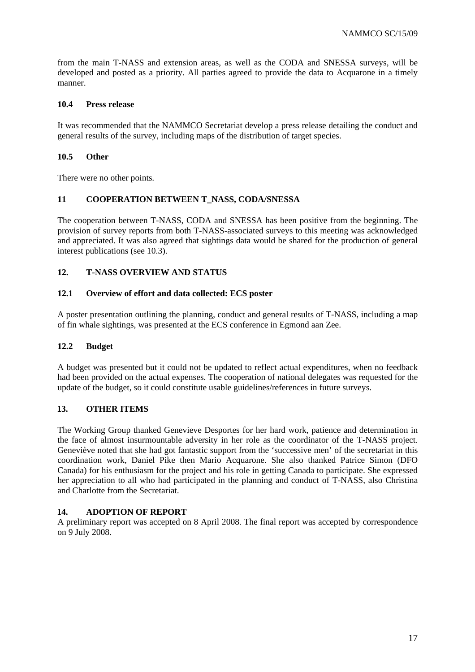from the main T-NASS and extension areas, as well as the CODA and SNESSA surveys, will be developed and posted as a priority. All parties agreed to provide the data to Acquarone in a timely manner.

# **10.4 Press release**

It was recommended that the NAMMCO Secretariat develop a press release detailing the conduct and general results of the survey, including maps of the distribution of target species.

# **10.5 Other**

There were no other points.

#### **11 COOPERATION BETWEEN T\_NASS, CODA/SNESSA**

The cooperation between T-NASS, CODA and SNESSA has been positive from the beginning. The provision of survey reports from both T-NASS-associated surveys to this meeting was acknowledged and appreciated. It was also agreed that sightings data would be shared for the production of general interest publications (see 10.3).

# **12. T-NASS OVERVIEW AND STATUS**

#### **12.1 Overview of effort and data collected: ECS poster**

A poster presentation outlining the planning, conduct and general results of T-NASS, including a map of fin whale sightings, was presented at the ECS conference in Egmond aan Zee.

#### **12.2 Budget**

A budget was presented but it could not be updated to reflect actual expenditures, when no feedback had been provided on the actual expenses. The cooperation of national delegates was requested for the update of the budget, so it could constitute usable guidelines/references in future surveys.

#### **13. OTHER ITEMS**

The Working Group thanked Genevieve Desportes for her hard work, patience and determination in the face of almost insurmountable adversity in her role as the coordinator of the T-NASS project. Geneviève noted that she had got fantastic support from the 'successive men' of the secretariat in this coordination work, Daniel Pike then Mario Acquarone. She also thanked Patrice Simon (DFO Canada) for his enthusiasm for the project and his role in getting Canada to participate. She expressed her appreciation to all who had participated in the planning and conduct of T-NASS, also Christina and Charlotte from the Secretariat.

#### **14. ADOPTION OF REPORT**

A preliminary report was accepted on 8 April 2008. The final report was accepted by correspondence on 9 July 2008.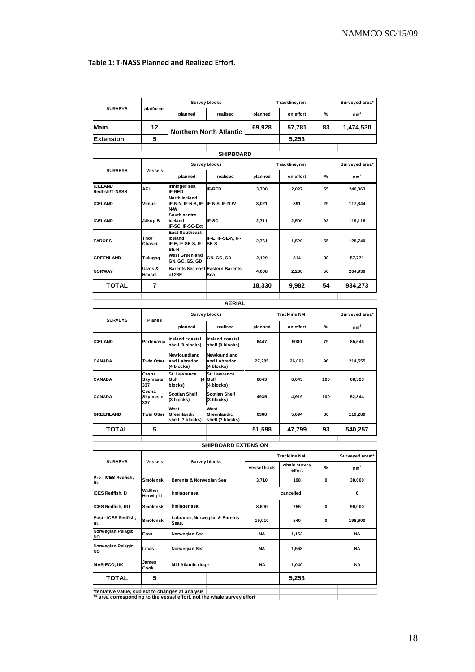# **Table 1: T‐NASS Planned and Realized Effort.**

|                                                                                                                             |                           |                                                                                    | <b>Survey blocks</b>                       | Trackline, nm                          | Surveyed area*      |               |                 |  |  |
|-----------------------------------------------------------------------------------------------------------------------------|---------------------------|------------------------------------------------------------------------------------|--------------------------------------------|----------------------------------------|---------------------|---------------|-----------------|--|--|
| <b>SURVEYS</b>                                                                                                              | platforms                 | planned                                                                            | realised                                   | planned<br>on effort                   |                     | %             | nm <sup>2</sup> |  |  |
| Main                                                                                                                        | 12                        |                                                                                    | <b>Northern North Atlantic</b>             | 69,928                                 | 57,781              | 83            | 1,474,530       |  |  |
| <b>Extension</b>                                                                                                            | 5                         |                                                                                    |                                            |                                        | 5,253               |               |                 |  |  |
|                                                                                                                             |                           |                                                                                    | <b>SHIPBOARD</b>                           |                                        |                     |               |                 |  |  |
|                                                                                                                             |                           |                                                                                    | <b>Survey blocks</b>                       | Trackline, nm                          | Surveyed area*      |               |                 |  |  |
| <b>SURVEYS</b>                                                                                                              | Vessels                   | planned<br>realised                                                                |                                            | planned                                | on effort           |               | $nm^2$          |  |  |
| <b>ICELAND</b><br>Redfish/T-NASS                                                                                            | AF II                     | Irminger sea<br><b>IF-RED</b>                                                      | <b>IF-RED</b>                              | 3,700                                  | 2,027               | 55            | 246,363         |  |  |
| <b>ICELAND</b>                                                                                                              | Venus                     | North Iceland<br>IF-N-N, IF-N-S, IF- IF-N-S, IF-N-W<br>N W                         |                                            | 3,021                                  | 891                 | 29            | 117,344         |  |  |
| <b>ICELAND</b>                                                                                                              | Jákup B                   | South centre<br>Iceland<br>IF-SC, IF-SC-Ext                                        | IF-SC                                      | 2,711                                  | 2,500               | 92            | 119,116         |  |  |
| <b>FAROES</b>                                                                                                               | Thor<br>Chaser            | <b>East-Southeast</b><br>Iceland<br>IF-E, IF-SE-S, IF-<br>SE-N                     | IF-E, IF-SE-N, IF-<br>SE-S                 | 2,761                                  | 1,520               | 55            | 128,740         |  |  |
| <b>GREENLAND</b>                                                                                                            | Tulugag                   | West Greenland<br>GN, GC, GS, GD                                                   | GN, GC, GD                                 | 2,129                                  | 814                 | 38            | 57,771          |  |  |
| <b>NORWAY</b>                                                                                                               | Ulvos &<br>Havsel         | <b>Barents Sea east</b><br>of 28E                                                  | <b>Eastern Barents</b><br>Sea              | 4,008                                  | 2,230               | 56            | 264,939         |  |  |
| TOTAL                                                                                                                       | 7                         |                                                                                    |                                            | 18,330                                 | 9,982               | 54            | 934,273         |  |  |
|                                                                                                                             |                           |                                                                                    | AERIAL                                     |                                        |                     |               |                 |  |  |
|                                                                                                                             |                           |                                                                                    | <b>Survey blocks</b>                       |                                        | <b>Trackline NM</b> |               | Surveyed area*  |  |  |
| <b>SURVEYS</b>                                                                                                              | <b>Planes</b>             | planned                                                                            | realised                                   | planned                                | on effort           | $\frac{9}{6}$ | nm <sup>2</sup> |  |  |
| <b>ICELAND</b>                                                                                                              | Partenavia                | <b>Iceland coastal</b><br>shelf (9 blocks)                                         | <b>Iceland coastal</b><br>shelf (9 blocks) | 6447                                   | 5080                | 79            | 85,546          |  |  |
| <b>CANADA</b>                                                                                                               | <b>Twin Otter</b>         | Newfoundland<br>and Labrador<br>(4 blocks)                                         | Newfoundland<br>and Labrador<br>(4 blocks) | 27,205                                 | 26,063              | 96            | 214,555         |  |  |
| <b>CANADA</b>                                                                                                               | Cesna<br>Skymaster<br>337 | St. Lawrence<br>(4)<br>Gulf<br>blocks)                                             | St. Lawrence<br>Gulf<br>(4 blocks)         | 6643                                   | 6,643               | 100           | 68,523          |  |  |
| <b>CANADA</b>                                                                                                               | Cesna<br>Skymaster<br>337 | <b>Scotian Shelf</b><br>(3 blocks)                                                 | <b>Scotian Shelf</b><br>(3 blocks)         | 4935                                   | 4,919               | 100           | 52,344          |  |  |
| <b>GREENLAND</b>                                                                                                            | <b>Twin Otter</b>         | West<br>West<br>Greenlandic<br>Greenlandic<br>shelf (? blocks)<br>shelf (? blocks) |                                            | 6368                                   | 5,094               | 80            | 119,289         |  |  |
| TOTAL                                                                                                                       | 5                         |                                                                                    |                                            | 51,598                                 | 47,799              | 93            | 540.257         |  |  |
|                                                                                                                             |                           |                                                                                    | <b>SHIPBOARD EXTENSION</b>                 |                                        |                     |               |                 |  |  |
|                                                                                                                             |                           |                                                                                    |                                            |                                        | <b>Trackline NM</b> |               | Surveyed area** |  |  |
| <b>SURVEYS</b>                                                                                                              | <b>Vessels</b>            |                                                                                    | <b>Survey blocks</b>                       | whale survey<br>vessel track<br>effort |                     | %             | nm <sup>2</sup> |  |  |
| Pre - ICES Redfish,<br>RU                                                                                                   | Smólensk                  | Barents & Norwegian Sea                                                            |                                            | 3,710                                  | 198                 | 0             | 38,600          |  |  |
| ICES Redfish, D                                                                                                             | Walther<br>Herwig III     | Irminger sea                                                                       |                                            |                                        |                     | 0             |                 |  |  |
| <b>ICES Redfish, RU</b>                                                                                                     | Smólensk                  | Irminger sea                                                                       |                                            | 8,600                                  | 755                 | 0             | 90,000          |  |  |
| Post - ICES Redfish,<br>RU                                                                                                  | Smólensk                  | Seas.                                                                              | Labrador, Norwegian & Barents              | 19,010                                 | 540                 | 0             | 198,600         |  |  |
| Norwegian Pelagic,<br><b>NO</b>                                                                                             | Eros                      | Norwegian Sea                                                                      |                                            | NA                                     | 1,152               |               | NA              |  |  |
| Norwegian Pelagic,<br><b>NO</b>                                                                                             | Libas                     | Norwegian Sea                                                                      |                                            | NA                                     | 1,568               |               | NA              |  |  |
| <b>MAR-ECO, UK</b>                                                                                                          | James<br>Cook             | Mid Atlantic ridge                                                                 |                                            | ΝA                                     | 1,040               |               | NA              |  |  |
| TOTAL                                                                                                                       | 5                         |                                                                                    |                                            |                                        | 5,253               |               |                 |  |  |
| *tentative value, subject to changes at analysis<br>** area corresponding to the vessel effort, not the whale survey effort |                           |                                                                                    |                                            |                                        |                     |               |                 |  |  |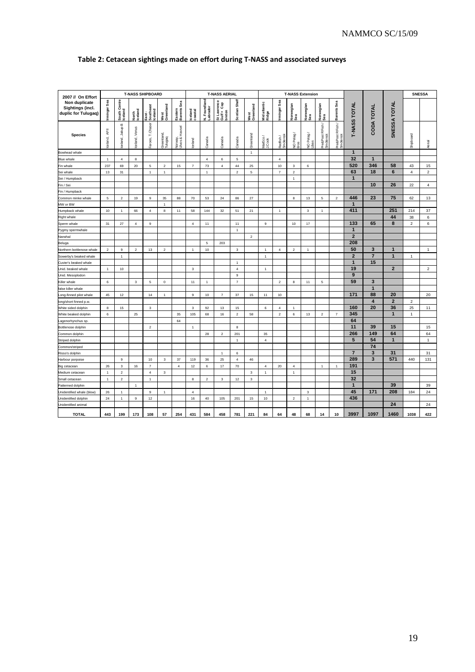| 2007 // On Effort                                        |                |                              | <b>T-NASS AERIAL</b><br><b>T-NASS SHIPBOARD</b><br><b>T-NASS Extension</b> |                                |                              |                             |                    |                          |                                    |                |                   | <b>SNESSA</b>         |                       |                         |                      |                              |                                   |                         |                |                         |                |                |
|----------------------------------------------------------|----------------|------------------------------|----------------------------------------------------------------------------|--------------------------------|------------------------------|-----------------------------|--------------------|--------------------------|------------------------------------|----------------|-------------------|-----------------------|-----------------------|-------------------------|----------------------|------------------------------|-----------------------------------|-------------------------|----------------|-------------------------|----------------|----------------|
| Non duplicate<br>Sightings (incl.<br>duplic for Tulugaq) | minger Sea     | South Centre<br>Iceland      | North<br>Iceland                                                           | East -<br>Southeast<br>Iceland | Greenland<br>West            | Sea<br>Eastern<br>Barents S | Iceland<br>coastal | N. Foundland<br>Labrador | St Lawence<br>Gulf + Cap<br>breton | Scotian Shelf  | Greenland<br>West | Mid atlantic<br>Ridge | rminger Sea           | Norwegian<br>Sea        | Norwegian<br>Sea     | Norwegian<br>Sea             | S <sub>ea</sub><br><b>Barents</b> | <b>T-NASS TOTAL</b>     | CODA TOTAL     | SNESSA TOTAL            |                |                |
| <b>Species</b>                                           | ₹<br>celand,   | $\bf{m}$<br>Jakup<br>celand, | celand, Venus                                                              | aroes, T.Chaser                | Greenland,<br><b>Tulugaq</b> | Norway,<br>Ulvos & Havsel   | celand             | Canada                   | Canada                             | Canada         | Greenland         | MarEco                | Redfish /<br>Smólensk | VO Pelag<br>ros         | Pelag<br>ibas        | Pre&Post RFish /<br>Smólensk | Pre&Post RFish /<br>Smólensk      |                         |                |                         | Shipboard      | Aerial         |
| Bowhead whale                                            |                |                              |                                                                            |                                |                              |                             |                    |                          |                                    |                | $\mathbf{1}$      |                       |                       |                         |                      |                              |                                   | $\mathbf{1}$            |                |                         |                |                |
| Blue whale                                               | 1              | $\overline{4}$               | 8                                                                          |                                |                              |                             |                    | $\overline{4}$           | 6                                  | 5              |                   |                       | $\sqrt{4}$            |                         |                      |                              |                                   | 32                      | $\mathbf{1}$   |                         |                |                |
| Fin whale                                                | 237            | 69                           | 20                                                                         | 5                              | $\overline{\mathbf{c}}$      | 15                          | $\overline{7}$     | 73                       | 4                                  | 44             | 25                |                       | 10                    | 3                       | 6                    |                              |                                   | 520                     | 346            | 58                      | 43             | 15             |
| Sei whale                                                | 13             | 31                           |                                                                            | 1                              | $\mathbf{1}$                 |                             |                    | $\overline{1}$           |                                    | $\sqrt{2}$     | $\mathbf 5$       |                       | $\overline{7}$        | $\overline{\mathbf{c}}$ |                      |                              |                                   | 63                      | 18             | 6                       | 4              | $\overline{2}$ |
| Sei / Humpback                                           |                |                              |                                                                            |                                |                              |                             |                    |                          |                                    |                |                   |                       |                       | $\mathbf{1}$            |                      |                              |                                   | $\mathbf{1}$            |                |                         |                |                |
| Fin / Sei                                                |                |                              |                                                                            |                                |                              |                             |                    |                          |                                    |                |                   |                       |                       |                         |                      |                              |                                   |                         | 10             | 26                      | 22             | $\overline{4}$ |
| Fin / Humpback                                           |                |                              |                                                                            |                                |                              |                             |                    |                          |                                    |                |                   |                       |                       |                         |                      |                              |                                   |                         |                |                         |                |                |
| Common minke whale                                       | 5              | $\overline{2}$               | 19                                                                         | 9                              | 35                           | 88                          | 70                 | 53                       | 24                                 | 86             | $27\,$            |                       |                       | 8                       | 13                   | 5                            | $\overline{2}$                    | 446                     | 23             | 75                      | 62             | 13             |
| MW or BW                                                 |                |                              |                                                                            |                                | $\mathbf{1}$                 |                             |                    |                          |                                    |                |                   |                       |                       |                         |                      |                              |                                   | $\mathbf{1}$            |                |                         |                |                |
| Humpback whale                                           | 10             | $\ddot{\phantom{0}}$         | 66                                                                         | $\sqrt{4}$                     | 8                            | 11                          | 58                 | 144                      | 32                                 | 51             | 21                |                       | $\overline{1}$        |                         | 3                    | $\overline{1}$               |                                   | 411                     |                | 251                     | 214            | 37             |
| Right whale                                              |                |                              |                                                                            |                                |                              |                             |                    |                          |                                    |                |                   |                       |                       |                         |                      |                              |                                   |                         |                | 44                      | 38             | 6              |
| Sperm whale                                              | 31             | 27                           | $\overline{4}$                                                             | $\mathsf g$                    |                              |                             | $\overline{4}$     | 11                       |                                    | 11             |                   | $\mathsf g$           |                       | 10                      | 17                   |                              |                                   | 133                     | 65             | 8                       | $\overline{2}$ | 6              |
| Pygmy spermwhale                                         |                |                              |                                                                            |                                |                              |                             |                    |                          |                                    | $\mathbf{1}$   |                   |                       |                       |                         |                      |                              |                                   | 1                       |                |                         |                |                |
| Narwhal                                                  |                |                              |                                                                            |                                |                              |                             |                    |                          |                                    |                | $\overline{2}$    |                       |                       |                         |                      |                              |                                   | $\overline{2}$          |                |                         |                |                |
| Beluga                                                   |                |                              |                                                                            |                                |                              |                             |                    | 5                        | 203                                |                |                   |                       |                       |                         |                      |                              |                                   | 208                     |                |                         |                |                |
| Northern bottlenose whale                                | $\mathfrak{p}$ | 9                            | $\overline{2}$                                                             | 13                             | $\overline{\mathbf{c}}$      |                             | $\overline{1}$     | 10                       |                                    | 3              |                   | $\overline{1}$        | $\overline{4}$        | $\overline{2}$          | $\overline{1}$       |                              |                                   | 50                      | 3              | $\mathbf{1}$            |                | $\mathbf{1}$   |
| Sowerby's beaked whale                                   |                | $\mathbf{1}$                 |                                                                            |                                |                              |                             |                    |                          |                                    |                |                   | $\mathbf{1}$          |                       |                         |                      |                              |                                   | $\overline{\mathbf{2}}$ | $\overline{7}$ | $\mathbf{1}$            | $\mathbf{1}$   |                |
| Cuvier's beaked whale                                    |                |                              |                                                                            |                                |                              |                             |                    |                          |                                    | $\overline{1}$ |                   |                       |                       |                         |                      |                              |                                   | $\mathbf{1}$            | 15             |                         |                |                |
| Unid. beaked whale                                       | $\mathbf{1}$   | $10$                         |                                                                            |                                |                              |                             | 3                  |                          |                                    | $\sqrt{4}$     |                   | $\overline{1}$        |                       |                         |                      |                              |                                   | 19                      |                | $\overline{2}$          |                | $\overline{2}$ |
| Unid. Mesoplodon                                         |                |                              |                                                                            |                                |                              |                             |                    |                          |                                    | $\mathsf g$    |                   |                       |                       |                         |                      |                              |                                   | 9                       |                |                         |                |                |
| Killer whale                                             | 6              |                              | 3                                                                          | 5                              | $\mathbf 0$                  |                             | 11                 | $\overline{1}$           |                                    | $\overline{7}$ |                   |                       | $\overline{2}$        | 8                       | 11                   | 5                            |                                   | 59                      | 3              |                         |                |                |
| false killer whale                                       |                |                              |                                                                            |                                |                              |                             |                    |                          |                                    |                |                   |                       |                       |                         |                      |                              |                                   |                         | $\mathbf{1}$   |                         |                |                |
| Long-finned pilot whale                                  | 45             | 12                           |                                                                            | 14                             | $\mathbf{1}$                 |                             | 9                  | 10                       | $\overline{7}$                     | 37             | 15                | 11                    | 10                    |                         |                      |                              |                                   | 171                     | 88             | 20                      |                | 20             |
| long/short finned p.w                                    |                |                              |                                                                            |                                |                              |                             |                    |                          |                                    |                |                   |                       |                       |                         |                      |                              |                                   |                         | 4              | $\overline{\mathbf{2}}$ | 2              |                |
| White sided dolphin                                      | 8              | 15                           |                                                                            | 3                              |                              |                             | 3                  | 92                       | 13                                 | 15             |                   | 6                     | 4                     | $\overline{1}$          |                      |                              |                                   | 160                     | 20             | 36                      | 25             | 11             |
| White beaked dolphin                                     | 6              |                              | 25                                                                         |                                |                              | 35                          | 105                | 68                       | 16                                 | $\overline{2}$ | 58                |                       | $\overline{2}$        | 6                       | 13                   | $\overline{2}$               | $\overline{7}$                    | 345                     |                | $\mathbf{1}$            | 1              |                |
| Lagenorhynchus sp                                        |                |                              |                                                                            |                                |                              | 64                          |                    |                          |                                    |                |                   |                       |                       |                         |                      |                              |                                   | 64                      |                |                         |                |                |
| Bottlenose dolphin                                       |                |                              |                                                                            | $\overline{2}$                 |                              |                             | $\overline{1}$     |                          |                                    | 8              |                   |                       |                       |                         |                      |                              |                                   | 11                      | 39             | 15                      |                | 15             |
| Common dolphin                                           |                |                              |                                                                            |                                |                              |                             |                    | 28                       | $\overline{2}$                     | 201            |                   | 35                    |                       |                         |                      |                              |                                   | 266                     | 149            | 64                      |                | 64             |
| Striped dolphin                                          |                |                              |                                                                            |                                |                              |                             |                    |                          |                                    | $\mathbf{1}$   |                   | $\overline{4}$        |                       |                         |                      |                              |                                   | 5                       | 54             | $\mathbf{1}$            |                | $\mathbf{1}$   |
| Common/striped                                           |                |                              |                                                                            |                                |                              |                             |                    |                          |                                    |                |                   |                       |                       |                         |                      |                              |                                   |                         | 74             |                         |                |                |
| Risso's dolphin                                          |                |                              |                                                                            |                                |                              |                             |                    |                          | $\overline{1}$                     | 6              |                   |                       |                       |                         |                      |                              |                                   | $\overline{7}$          | 3              | 31                      |                | 31             |
| Harbour porpoise                                         |                | $\alpha$                     |                                                                            | 10                             | $\overline{\mathbf{3}}$      | 37                          | 119                | 36                       | 25                                 | $\Delta$       | 46                |                       |                       |                         |                      |                              |                                   | 289                     | 3              | 571                     | 440            | 131            |
| Big cetacean                                             | 26             | 3                            | 16                                                                         | $\overline{7}$                 |                              | $\overline{4}$              | 12                 | 6                        | 17                                 | 70             |                   | $\overline{4}$        | 20                    | $\overline{4}$          |                      | $\mathbf{1}$                 | $\overline{1}$                    | 191                     |                |                         |                |                |
| Medium cetacean                                          | $\overline{1}$ | $\overline{\mathbf{c}}$      |                                                                            | $\overline{4}$                 | 3                            |                             |                    |                          |                                    |                | 3                 | $\overline{1}$        |                       | $\overline{1}$          |                      |                              |                                   | 15                      |                |                         |                |                |
| Small cetacean                                           | $\mathbf{1}$   | $\overline{2}$               |                                                                            | $\mathbf{1}$                   |                              |                             | 8                  | $\overline{2}$           | $\mathsf 3$                        | 12             | $\mathbf{3}$      |                       |                       |                         |                      |                              |                                   | 32                      |                |                         |                |                |
| Patterned dolphin                                        |                |                              | $\mathbf{1}$                                                               |                                |                              |                             |                    |                          |                                    |                |                   |                       |                       |                         |                      |                              |                                   | $\mathbf{1}$            |                | 39                      |                | 39             |
| Unidentified whale (blow)                                | 26             | $\mathbf{1}$                 |                                                                            | 9                              | $\mathbf{1}$                 |                             | $\overline{4}$     |                          |                                    |                |                   | $\overline{1}$        |                       |                         | 3                    |                              |                                   | 45                      | 171            | 208                     | 184            | 24             |
| Unidentified dolphin                                     | 24             | $\mathbf{1}$                 | 9                                                                          | 12                             |                              |                             | 16                 | 40                       | 105                                | 201            | 15                | 10                    |                       | $\overline{2}$          | $\ddot{\phantom{0}}$ |                              |                                   | 436                     |                |                         |                |                |
| Unidentified animal                                      |                |                              |                                                                            |                                |                              |                             |                    |                          |                                    |                |                   |                       |                       |                         |                      |                              |                                   |                         |                | 24                      |                | 24             |
| <b>TOTAL</b>                                             | 443            | 199                          | 173                                                                        | 108                            | 57                           | 254                         | 431                | 584                      | 458                                | 781            | 221               | 84                    | 64                    | 48                      | 68                   | 14                           | 10                                | 3997                    | 1097           | 1460                    | 1038           | 422            |

# **Table 2: Cetacean sightings made on effort during T‐NASS and associated surveys**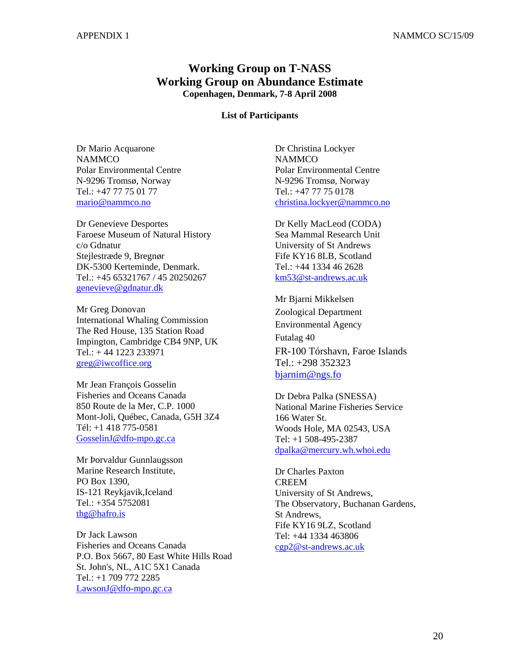# **Working Group on T-NASS Working Group on Abundance Estimate Copenhagen, Denmark, 7-8 April 2008**

**List of Participants** 

Dr Mario Acquarone NAMMCO Polar Environmental Centre N-9296 Tromsø, Norway Tel.: +47 77 75 01 77 mario@nammco.no

Dr Genevieve Desportes Faroese Museum of Natural History c/o Gdnatur Stejlestræde 9, Bregnør DK-5300 Kerteminde, Denmark. Tel.: +45 65321767 / 45 20250267 genevieve@gdnatur.dk

Mr Greg Donovan International Whaling Commission The Red House, 135 Station Road Impington, Cambridge CB4 9NP, UK Tel.: + 44 1223 233971 greg@iwcoffice.org

Mr Jean François Gosselin Fisheries and Oceans Canada 850 Route de la Mer, C.P. 1000 Mont-Joli, Québec, Canada, G5H 3Z4 Tél: +1 418 775-0581 GosselinJ@dfo-mpo.gc.ca

Mr Þorvaldur Gunnlaugsson Marine Research Institute, PO Box 1390, IS-121 Reykjavik,Iceland Tel.: +354 5752081 thg@hafro.is

Dr Jack Lawson Fisheries and Oceans Canada P.O. Box 5667, 80 East White Hills Road St. John's, NL, A1C 5X1 Canada Tel.: +1 709 772 2285 LawsonJ@dfo-mpo.gc.ca

Dr Christina Lockyer **NAMMCO** Polar Environmental Centre N-9296 Tromsø, Norway Tel.: +47 77 75 0178 christina.lockyer@nammco.no

Dr Kelly MacLeod (CODA) Sea Mammal Research Unit University of St Andrews Fife KY16 8LB, Scotland Tel.: +44 1334 46 2628 km53@st-andrews.ac.uk

Mr Bjarni Mikkelsen Zoological Department Environmental Agency Futalag 40 FR-100 Tórshavn, Faroe Islands Tel.: +298 352323 bjarnim@ngs.fo

Dr Debra Palka (SNESSA) National Marine Fisheries Service 166 Water St. Woods Hole, MA 02543, USA Tel: +1 508-495-2387 dpalka@mercury.wh.whoi.edu

Dr Charles Paxton CREEM University of St Andrews, The Observatory, Buchanan Gardens, St Andrews, Fife KY16 9LZ, Scotland Tel: +44 1334 463806 cgp2@st-andrews.ac.uk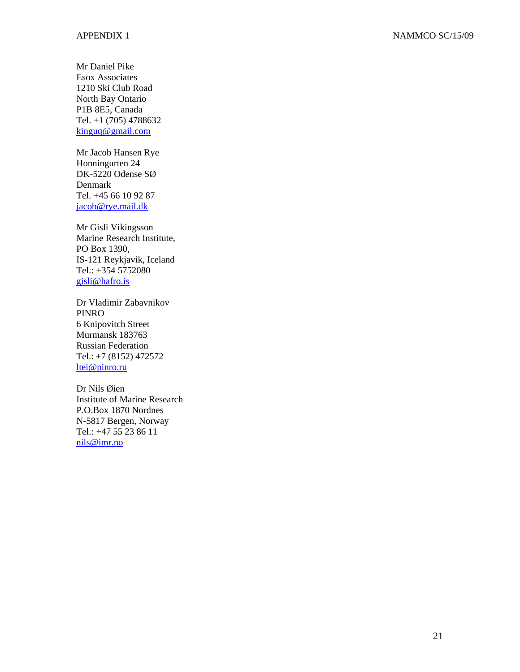Mr Daniel Pike Esox Associates 1210 Ski Club Road North Bay Ontario P1B 8E5, Canada Tel. +1 (705) 4788632 kinguq@gmail.com

Mr Jacob Hansen Rye Honningurten 24 DK-5220 Odense SØ Denmark Tel. +45 66 10 92 87 jacob@rye.mail.dk

Mr Gisli Vikingsson Marine Research Institute, PO Box 1390, IS-121 Reykjavik, Iceland Tel.: +354 5752080 gisli@hafro.is

Dr Vladimir Zabavnikov PINRO 6 Knipovitch Street Murmansk 183763 Russian Federation Tel.: +7 (8152) 472572 ltei@pinro.ru

Dr Nils Øien Institute of Marine Research P.O.Box 1870 Nordnes N-5817 Bergen, Norway Tel.: +47 55 23 86 11 nils@imr.no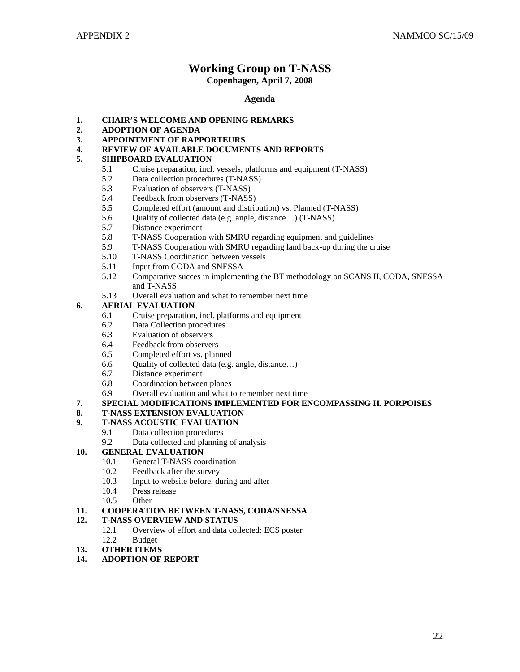# **Working Group on T-NASS**

# **Copenhagen, April 7, 2008**

#### **Agenda**

#### **1. CHAIR'S WELCOME AND OPENING REMARKS**

#### **2. ADOPTION OF AGENDA**

- **3. APPOINTMENT OF RAPPORTEURS**
- **4. REVIEW OF AVAILABLE DOCUMENTS AND REPORTS**

#### **5. SHIPBOARD EVALUATION**

- 5.1 Cruise preparation, incl. vessels, platforms and equipment (T-NASS)
- 5.2 Data collection procedures (T-NASS)
- 5.3 Evaluation of observers (T-NASS)
- 5.4 Feedback from observers (T-NASS)
- 5.5 Completed effort (amount and distribution) vs. Planned (T-NASS)
- 5.6 Quality of collected data (e.g. angle, distance…) (T-NASS)
- 5.7 Distance experiment
- 5.8 T-NASS Cooperation with SMRU regarding equipment and guidelines
- 5.9 T-NASS Cooperation with SMRU regarding land back-up during the cruise
- 5.10 T-NASS Coordination between vessels
- 5.11 Input from CODA and SNESSA
- 5.12 Comparative succes in implementing the BT methodology on SCANS II, CODA, SNESSA and T-NASS
- 5.13 Overall evaluation and what to remember next time

#### **6. AERIAL EVALUATION**

- 6.1 Cruise preparation, incl. platforms and equipment
- 6.2 Data Collection procedures
- 6.3 Evaluation of observers
- 6.4 Feedback from observers
- 6.5 Completed effort vs. planned
- 6.6 Quality of collected data (e.g. angle, distance…)
- 6.7 Distance experiment
- 6.8 Coordination between planes
- 6.9 Overall evaluation and what to remember next time

#### **7. SPECIAL MODIFICATIONS IMPLEMENTED FOR ENCOMPASSING H. PORPOISES**

#### **8. T-NASS EXTENSION EVALUATION**

#### **9. T-NASS ACOUSTIC EVALUATION**

- 9.1 Data collection procedures
- 9.2 Data collected and planning of analysis

#### **10. GENERAL EVALUATION**

- 10.1 General T-NASS coordination
- 10.2 Feedback after the survey
- 10.3 Input to website before, during and after
- 10.4 Press release
- 10.5 Other

#### **11. COOPERATION BETWEEN T-NASS, CODA/SNESSA**

#### **12. T-NASS OVERVIEW AND STATUS**

- 12.1 Overview of effort and data collected: ECS poster
- 12.2 Budget
- **13. OTHER ITEMS**

#### **14. ADOPTION OF REPORT**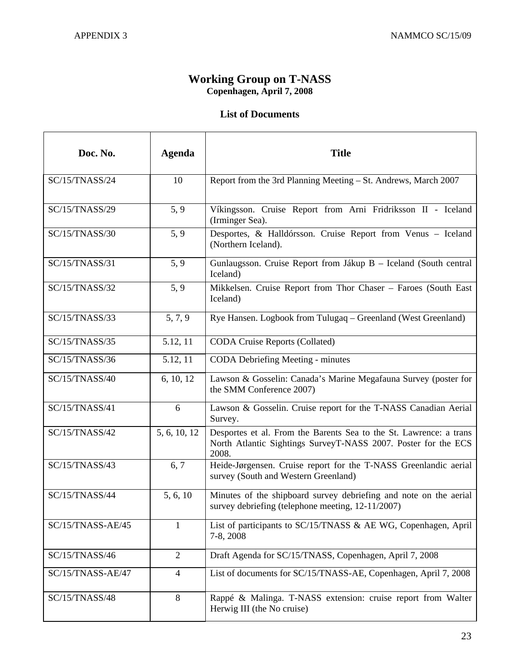# **Working Group on T-NASS Copenhagen, April 7, 2008**

# **List of Documents**

| Doc. No.              | <b>Agenda</b>  | <b>Title</b>                                                                                                                                  |  |  |  |  |  |  |
|-----------------------|----------------|-----------------------------------------------------------------------------------------------------------------------------------------------|--|--|--|--|--|--|
| SC/15/TNASS/24        | 10             | Report from the 3rd Planning Meeting – St. Andrews, March 2007                                                                                |  |  |  |  |  |  |
| SC/15/TNASS/29        | 5, 9           | Víkingsson. Cruise Report from Arni Fridriksson II - Iceland<br>(Irminger Sea).                                                               |  |  |  |  |  |  |
| SC/15/TNASS/30        | 5, 9           | Desportes, & Halldórsson. Cruise Report from Venus - Iceland<br>(Northern Iceland).                                                           |  |  |  |  |  |  |
| SC/15/TNASS/31        | 5, 9           | Gunlaugsson. Cruise Report from Jákup B - Iceland (South central<br>Iceland)                                                                  |  |  |  |  |  |  |
| SC/15/TNASS/32        | 5, 9           | Mikkelsen. Cruise Report from Thor Chaser - Faroes (South East<br>Iceland)                                                                    |  |  |  |  |  |  |
| SC/15/TNASS/33        | 5, 7, 9        | Rye Hansen. Logbook from Tulugaq – Greenland (West Greenland)                                                                                 |  |  |  |  |  |  |
| <b>SC/15/TNASS/35</b> | 5.12, 11       | <b>CODA Cruise Reports (Collated)</b>                                                                                                         |  |  |  |  |  |  |
| SC/15/TNASS/36        | 5.12, 11       | <b>CODA</b> Debriefing Meeting - minutes                                                                                                      |  |  |  |  |  |  |
| SC/15/TNASS/40        | 6, 10, 12      | Lawson & Gosselin: Canada's Marine Megafauna Survey (poster for<br>the SMM Conference 2007)                                                   |  |  |  |  |  |  |
| SC/15/TNASS/41        | 6              | Lawson & Gosselin. Cruise report for the T-NASS Canadian Aerial<br>Survey.                                                                    |  |  |  |  |  |  |
| SC/15/TNASS/42        | 5, 6, 10, 12   | Desportes et al. From the Barents Sea to the St. Lawrence: a trans<br>North Atlantic Sightings SurveyT-NASS 2007. Poster for the ECS<br>2008. |  |  |  |  |  |  |
| SC/15/TNASS/43        | 6, 7           | Heide-Jørgensen. Cruise report for the T-NASS Greenlandic aerial<br>survey (South and Western Greenland)                                      |  |  |  |  |  |  |
| SC/15/TNASS/44        | 5, 6, 10       | Minutes of the shipboard survey debriefing and note on the aerial<br>survey debriefing (telephone meeting, 12-11/2007)                        |  |  |  |  |  |  |
| SC/15/TNASS-AE/45     | $\mathbf{1}$   | List of participants to SC/15/TNASS & AE WG, Copenhagen, April<br>7-8, 2008                                                                   |  |  |  |  |  |  |
| SC/15/TNASS/46        | 2              | Draft Agenda for SC/15/TNASS, Copenhagen, April 7, 2008                                                                                       |  |  |  |  |  |  |
| SC/15/TNASS-AE/47     | $\overline{4}$ | List of documents for SC/15/TNASS-AE, Copenhagen, April 7, 2008                                                                               |  |  |  |  |  |  |
| SC/15/TNASS/48        | 8              | Rappé & Malinga. T-NASS extension: cruise report from Walter<br>Herwig III (the No cruise)                                                    |  |  |  |  |  |  |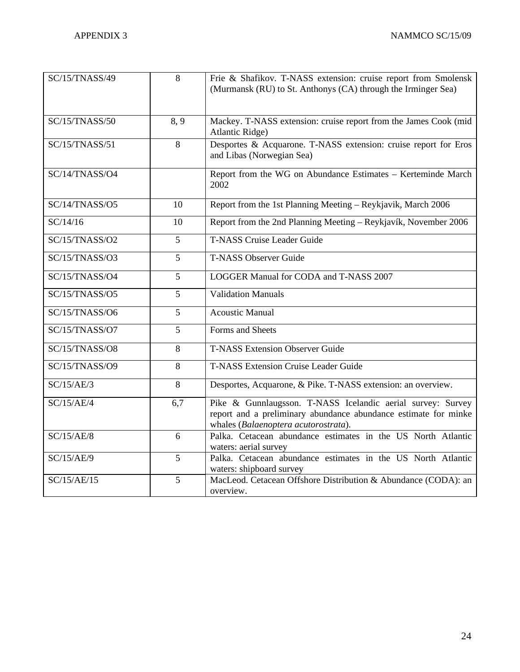| SC/15/TNASS/49 | 8    | Frie & Shafikov. T-NASS extension: cruise report from Smolensk<br>(Murmansk (RU) to St. Anthonys (CA) through the Irminger Sea)                                        |
|----------------|------|------------------------------------------------------------------------------------------------------------------------------------------------------------------------|
| SC/15/TNASS/50 | 8, 9 | Mackey. T-NASS extension: cruise report from the James Cook (mid<br>Atlantic Ridge)                                                                                    |
| SC/15/TNASS/51 | 8    | Desportes & Acquarone. T-NASS extension: cruise report for Eros<br>and Libas (Norwegian Sea)                                                                           |
| SC/14/TNASS/O4 |      | Report from the WG on Abundance Estimates - Kerteminde March<br>2002                                                                                                   |
| SC/14/TNASS/O5 | 10   | Report from the 1st Planning Meeting - Reykjavik, March 2006                                                                                                           |
| SC/14/16       | 10   | Report from the 2nd Planning Meeting - Reykjavík, November 2006                                                                                                        |
| SC/15/TNASS/O2 | 5    | <b>T-NASS Cruise Leader Guide</b>                                                                                                                                      |
| SC/15/TNASS/O3 | 5    | <b>T-NASS Observer Guide</b>                                                                                                                                           |
| SC/15/TNASS/O4 | 5    | LOGGER Manual for CODA and T-NASS 2007                                                                                                                                 |
| SC/15/TNASS/O5 | 5    | <b>Validation Manuals</b>                                                                                                                                              |
| SC/15/TNASS/O6 | 5    | <b>Acoustic Manual</b>                                                                                                                                                 |
| SC/15/TNASS/O7 | 5    | Forms and Sheets                                                                                                                                                       |
| SC/15/TNASS/O8 | 8    | <b>T-NASS Extension Observer Guide</b>                                                                                                                                 |
| SC/15/TNASS/O9 | 8    | <b>T-NASS Extension Cruise Leader Guide</b>                                                                                                                            |
| SC/15/AE/3     | 8    | Desportes, Acquarone, & Pike. T-NASS extension: an overview.                                                                                                           |
| SC/15/AE/4     | 6,7  | Pike & Gunnlaugsson. T-NASS Icelandic aerial survey: Survey<br>report and a preliminary abundance abundance estimate for minke<br>whales (Balaenoptera acutorostrata). |
| SC/15/AE/8     | 6    | Palka. Cetacean abundance estimates in the US North Atlantic<br>waters: aerial survey                                                                                  |
| SC/15/AE/9     | 5    | Palka. Cetacean abundance estimates in the US North Atlantic<br>waters: shipboard survey                                                                               |
| SC/15/AE/15    | 5    | MacLeod. Cetacean Offshore Distribution & Abundance (CODA): an<br>overview.                                                                                            |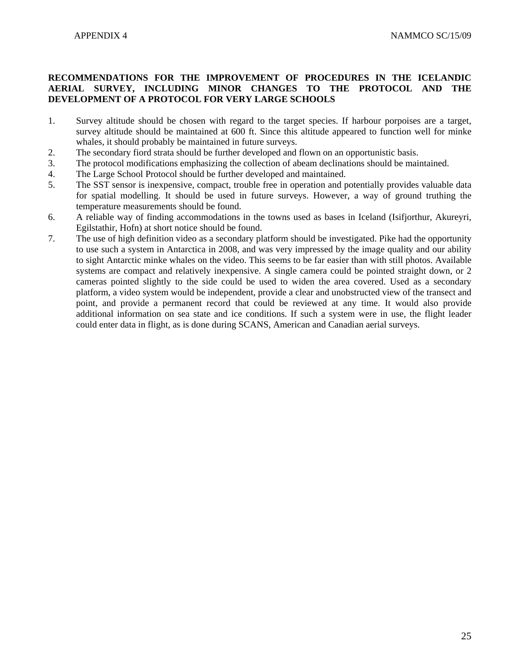#### **RECOMMENDATIONS FOR THE IMPROVEMENT OF PROCEDURES IN THE ICELANDIC AERIAL SURVEY, INCLUDING MINOR CHANGES TO THE PROTOCOL AND THE DEVELOPMENT OF A PROTOCOL FOR VERY LARGE SCHOOLS**

- 1. Survey altitude should be chosen with regard to the target species. If harbour porpoises are a target, survey altitude should be maintained at 600 ft. Since this altitude appeared to function well for minke whales, it should probably be maintained in future surveys.
- 2. The secondary fiord strata should be further developed and flown on an opportunistic basis.
- 3. The protocol modifications emphasizing the collection of abeam declinations should be maintained.
- 4. The Large School Protocol should be further developed and maintained.
- 5. The SST sensor is inexpensive, compact, trouble free in operation and potentially provides valuable data for spatial modelling. It should be used in future surveys. However, a way of ground truthing the temperature measurements should be found.
- 6. A reliable way of finding accommodations in the towns used as bases in Iceland (Isifjorthur, Akureyri, Egilstathir, Hofn) at short notice should be found.
- 7. The use of high definition video as a secondary platform should be investigated. Pike had the opportunity to use such a system in Antarctica in 2008, and was very impressed by the image quality and our ability to sight Antarctic minke whales on the video. This seems to be far easier than with still photos. Available systems are compact and relatively inexpensive. A single camera could be pointed straight down, or 2 cameras pointed slightly to the side could be used to widen the area covered. Used as a secondary platform, a video system would be independent, provide a clear and unobstructed view of the transect and point, and provide a permanent record that could be reviewed at any time. It would also provide additional information on sea state and ice conditions. If such a system were in use, the flight leader could enter data in flight, as is done during SCANS, American and Canadian aerial surveys.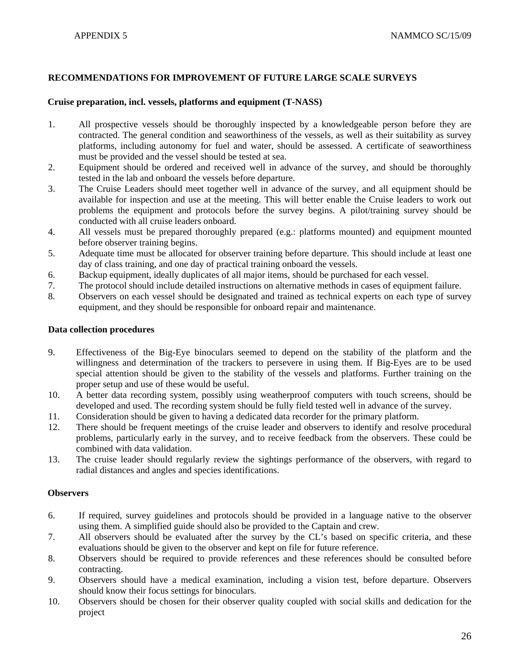#### **RECOMMENDATIONS FOR IMPROVEMENT OF FUTURE LARGE SCALE SURVEYS**

#### **Cruise preparation, incl. vessels, platforms and equipment (T-NASS)**

- 1. All prospective vessels should be thoroughly inspected by a knowledgeable person before they are contracted. The general condition and seaworthiness of the vessels, as well as their suitability as survey platforms, including autonomy for fuel and water, should be assessed. A certificate of seaworthiness must be provided and the vessel should be tested at sea.
- 2. Equipment should be ordered and received well in advance of the survey, and should be thoroughly tested in the lab and onboard the vessels before departure.
- 3. The Cruise Leaders should meet together well in advance of the survey, and all equipment should be available for inspection and use at the meeting. This will better enable the Cruise leaders to work out problems the equipment and protocols before the survey begins. A pilot/training survey should be conducted with all cruise leaders onboard.
- 4. All vessels must be prepared thoroughly prepared (e.g.: platforms mounted) and equipment mounted before observer training begins.
- 5. Adequate time must be allocated for observer training before departure. This should include at least one day of class training, and one day of practical training onboard the vessels.
- 6. Backup equipment, ideally duplicates of all major items, should be purchased for each vessel.
- 7. The protocol should include detailed instructions on alternative methods in cases of equipment failure.
- 8. Observers on each vessel should be designated and trained as technical experts on each type of survey equipment, and they should be responsible for onboard repair and maintenance.

#### **Data collection procedures**

- 9. Effectiveness of the Big-Eye binoculars seemed to depend on the stability of the platform and the willingness and determination of the trackers to persevere in using them. If Big-Eyes are to be used special attention should be given to the stability of the vessels and platforms. Further training on the proper setup and use of these would be useful.
- 10. A better data recording system, possibly using weatherproof computers with touch screens, should be developed and used. The recording system should be fully field tested well in advance of the survey.
- 11. Consideration should be given to having a dedicated data recorder for the primary platform.
- 12. There should be frequent meetings of the cruise leader and observers to identify and resolve procedural problems, particularly early in the survey, and to receive feedback from the observers. These could be combined with data validation.
- 13. The cruise leader should regularly review the sightings performance of the observers, with regard to radial distances and angles and species identifications.

#### **Observers**

- 6. If required, survey guidelines and protocols should be provided in a language native to the observer using them. A simplified guide should also be provided to the Captain and crew.
- 7. All observers should be evaluated after the survey by the CL's based on specific criteria, and these evaluations should be given to the observer and kept on file for future reference.
- 8. Observers should be required to provide references and these references should be consulted before contracting.
- 9. Observers should have a medical examination, including a vision test, before departure. Observers should know their focus settings for binoculars.
- 10. Observers should be chosen for their observer quality coupled with social skills and dedication for the project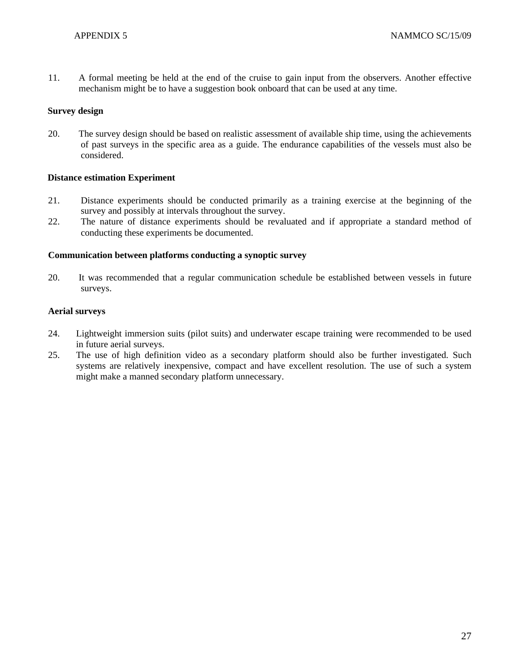11. A formal meeting be held at the end of the cruise to gain input from the observers. Another effective mechanism might be to have a suggestion book onboard that can be used at any time.

#### **Survey design**

20. The survey design should be based on realistic assessment of available ship time, using the achievements of past surveys in the specific area as a guide. The endurance capabilities of the vessels must also be considered.

#### **Distance estimation Experiment**

- 21. Distance experiments should be conducted primarily as a training exercise at the beginning of the survey and possibly at intervals throughout the survey.
- 22. The nature of distance experiments should be revaluated and if appropriate a standard method of conducting these experiments be documented.

#### **Communication between platforms conducting a synoptic survey**

20. It was recommended that a regular communication schedule be established between vessels in future surveys.

#### **Aerial surveys**

- 24. Lightweight immersion suits (pilot suits) and underwater escape training were recommended to be used in future aerial surveys.
- 25. The use of high definition video as a secondary platform should also be further investigated. Such systems are relatively inexpensive, compact and have excellent resolution. The use of such a system might make a manned secondary platform unnecessary.